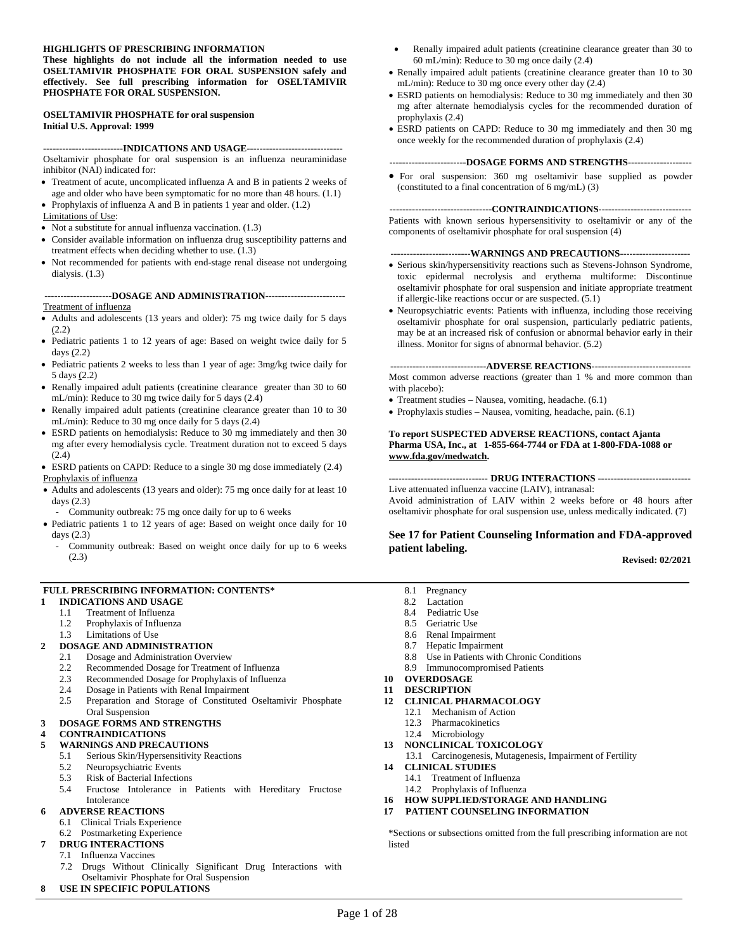#### **HIGHLIGHTS OF PRESCRIBING INFORMATION**

**These highlights do not include all the information needed to use OSELTAMIVIR PHOSPHATE FOR ORAL SUSPENSION safely and effectively. See full prescribing information for OSELTAMIVIR PHOSPHATE FOR ORAL SUSPENSION.** 

#### **OSELTAMIVIR PHOSPHATE for oral suspension Initial U.S. Approval: 1999**

**-------------------------INDICATIONS AND USAGE------------------------------**

Oseltamivir phosphate for oral suspension is an influenza neuraminidase inhibitor (NAI) indicated for:

- Treatment of acute, uncomplicated influenza A and B in patients 2 weeks of age and older who have been symptomatic for no more than 48 hours. [\(1.1](#page-1-0))
- Prophylaxis of influenza A and B in patients 1 year and older. ([1.2\)](#page-1-1)

Limitations of Use:

- Not a substitute for annual influenza vaccination. [\(1.3](#page-1-2))
- Consider available information on influenza drug susceptibility patterns and treatment effects when deciding whether to use. ([1.3\)](#page-1-2)
- Not recommended for patients with end-stage renal disease not undergoing dialysis. [\(1.3](#page-1-2))

#### **---------------------DOSAGE AND ADMINISTRATION-------------------------** Treatment of influenza

- Adults and adolescents (13 years and older): 75 mg twice daily for 5 days ([2.2\)](#page-2-0)
- Pediatric patients 1 to 12 years of age: Based on weight twice daily for 5 days [\(2.2](#page-2-0))
- Pediatric patients 2 weeks to less than 1 year of age: 3mg/kg twice daily for 5 days [\(2.2](#page-2-0))
- Renally impaired adult patients (creatinine clearance greater than 30 to 60 mL/min): Reduce to 30 mg twice daily for 5 days [\(2.4\)](#page-3-0)
- Renally impaired adult patients (creatinine clearance greater than 10 to 30 mL/min): Reduce to 30 mg once daily for 5 days [\(2.4\)](#page-3-0)
- ESRD patients on hemodialysis: Reduce to 30 mg immediately and then 30 mg after every hemodialysis cycle. Treatment duration not to exceed 5 days ([2.4\)](#page-3-0)
- ESRD patients on CAPD: Reduce to a single 30 mg dose immediately [\(2.4](#page-3-0)) Prophylaxis of influenza
- Adults and adolescents (13 years and older): 75 mg once daily for at least 10 days [\(2.3](#page-2-1))
- Community outbreak: 75 mg once daily for up to 6 weeks
- Pediatric patients 1 to 12 years of age: Based on weight once daily for 10 days [\(2.3\)](#page-2-1)
	- Community outbreak: Based on weight once daily for up to 6 weeks [\(2.3\)](#page-2-1)

#### **FULL PRESCRIBING INFORMATION: CONTENTS\***

- **1 [INDICATIONS AND USAGE](#page-1-3)** 
	- 1.1 [Treatment of Influenza](#page-1-3)
	- 1.2 [Prophylaxis of Influenza](#page-1-3)
	- 1.3 [Limitations of Use](#page-1-3)

#### **2 [DOSAGE AND ADMINISTRATION](#page-1-3)**

- 2.1 [Dosage and Administration Overview](#page-1-3)
	- 2.2 [Recommended Dosage for Treatment of Influenza](#page-2-2)<br>2.3 Recommended Dosage for Prophylaxis of Influenz
	- [Recommended Dosage for Prophylaxis of Influenza](#page-2-2)
	- 2.4 [Dosage in Patients with Renal Impairment](#page-3-1)
	- 2.5 [Preparation and Storage of Constituted Oseltamivir Phosphate](#page-4-3) Oral Suspension

#### **3 [DOSAGE FORMS AND STRENGTHS](#page-4-3)**

**4 [CONTRAINDICATIONS](#page-4-3)** 

#### **5 [WARNINGS AND PRECAUTIONS](#page-4-3)**

- 5.1 [Serious Skin/Hypersensitivity Reactions](#page-4-3)<br>5.2 Neuropsychiatric Events
- [Neuropsychiatric Events](#page-5-1)
- 5.3 [Risk of Bacterial Infections](#page-5-1)<br>5.4 Fructose Intolerance in
- 5.4 [Fructose Intolerance in Patients with Hereditary Fructose](#page-5-1)  Intolerance

#### **6 [ADVERSE REACTIONS](#page-5-1)**

- 6.1 [Clinical Trials Experience](#page-5-1)
- 6.2 [Postmarketing Experience](#page-7-0)
- **7 [DRUG INTERACTIONS](#page-7-0)**
- 7.1 [Influenza Vaccines](#page-7-0)
- 7.2 [Drugs Without Clinically Significant Drug Interactions with](#page-8-0)  Oseltamivir Phosphate for Oral Suspension
- **8 [USE IN SPECIFIC POPULATIONS](#page-8-0)**
- Renally impaired adult patients (creatinine clearance greater than 30 to 60 mL/min): Reduce to 30 mg once daily [\(2.4\)](#page-3-0)
- Renally impaired adult patients (creatinine clearance greater than 10 to 30 mL/min): Reduce to 30 mg once every other day [\(2.4\)](#page-3-0)
- ESRD patients on hemodialysis: Reduce to 30 mg immediately and then 30 mg after alternate hemodialysis cycles for the recommended duration of prophylaxis [\(2.4\)](#page-3-0)
- ESRD patients on CAPD: Reduce to 30 mg immediately and then 30 mg once weekly for the recommended duration of prophylaxis [\(2.4\)](#page-3-0)

#### **------------------------DOSAGE FORMS AND STRENGTHS--------------------**

• For oral suspension: 360 mg oseltamivir base supplied as powder (constituted to a final concentration of 6 mg/mL) [\(3\)](#page-4-0)

**--------------------------------CONTRAINDICATIONS-----------------------------**

Patients with known serious hypersensitivity to oseltamivir or any of the components of oseltamivir phosphate for oral suspension [\(4\)](#page-4-1) 

#### **-------------------------WARNINGS AND PRECAUTIONS----------------------**

- Serious skin/hypersensitivity reactions such as Stevens-Johnson Syndrome, toxic epidermal necrolysis and erythema multiforme: Discontinue oseltamivir phosphate for oral suspension and initiate appropriate treatment if allergic-like reactions occur or are suspected. [\(5.1\)](#page-4-2)
- Neuropsychiatric events: Patients with influenza, including those receiving oseltamivir phosphate for oral suspension, particularly pediatric patients, may be at an increased risk of confusion or abnormal behavior early in their illness. Monitor for signs of abnormal behavior. [\(5.2\)](#page-5-0)

#### **------------------------------ADVERSE REACTIONS-------------------------------**

Most common adverse reactions (greater than 1 % and more common than with placebo):

- Treatment studies Nausea, vomiting, headache. [\(6.1\)](#page-5-1)
- Prophylaxis studies Nausea, vomiting, headache, pain. [\(6.1\)](#page-5-1)

#### **To report SUSPECTED ADVERSE REACTIONS, contact Ajanta Pharma USA, Inc., at 1-855-664-7744 or FDA at 1-800-FDA-1088 or www.fda.gov/medwatch.**

#### **------------------------------- DRUG INTERACTIONS -----------------------------**

Live attenuated influenza vaccine (LAIV), intranasal: Avoid administration of LAIV within 2 weeks before or 48 hours after oseltamivir phosphate for oral suspension use, unless medically indicated. [\(7\)](#page-7-0)

# **[See 17](#page-22-0) for Patient Counseling Information and FDA-approved patient labeling. Revised: 02/2021**

- 8.1 [Pregnancy](#page-8-0)
- 8.2 [Lactation](#page-9-0)
- 8.4 [Pediatric Use](#page-9-1)
- 8.5 [Geriatric Use](#page-10-0)
- 8.6 [Renal Impairment](#page-11-0)
- 8.7 [Hepatic Impairment](#page-11-1)
- 8.8 [Use in Patients with Chronic Conditions](#page-11-2)
- 8.9 [Immunocompromised Patients](#page-11-3)
- **10 [OVERDOSAGE](#page-11-4)**
- **11 [DESCRIPTION](#page-12-0)**
- **12 [CLINICAL PHARMACOLOGY](#page-12-1)** 
	- 12.1 [Mechanism of Action](#page-12-2)
	- 12.3 [Pharmacokinetics](#page-12-3)
	- 12.4 [Microbiology](#page-16-0)
- **13 [NONCLINICAL TOXICOLOGY](#page-18-0)**
- 13.1 [Carcinogenesis, Mutagenesis, Impairment of Fertility](#page-18-1)
- **14 [CLINICAL STUDIES](#page-19-0)** 
	- 14.1 [Treatment of Influenza](#page-19-1)
	- 14.2 [Prophylaxis of Influenza](#page-20-0)
- **16 [HOW SUPPLIED/STORAGE AND HANDLING](#page-22-1)**
- **17 [PATIENT COUNSELING INFORMATION](#page-22-2)**

\*Sections or subsections omitted from the full prescribing information are not listed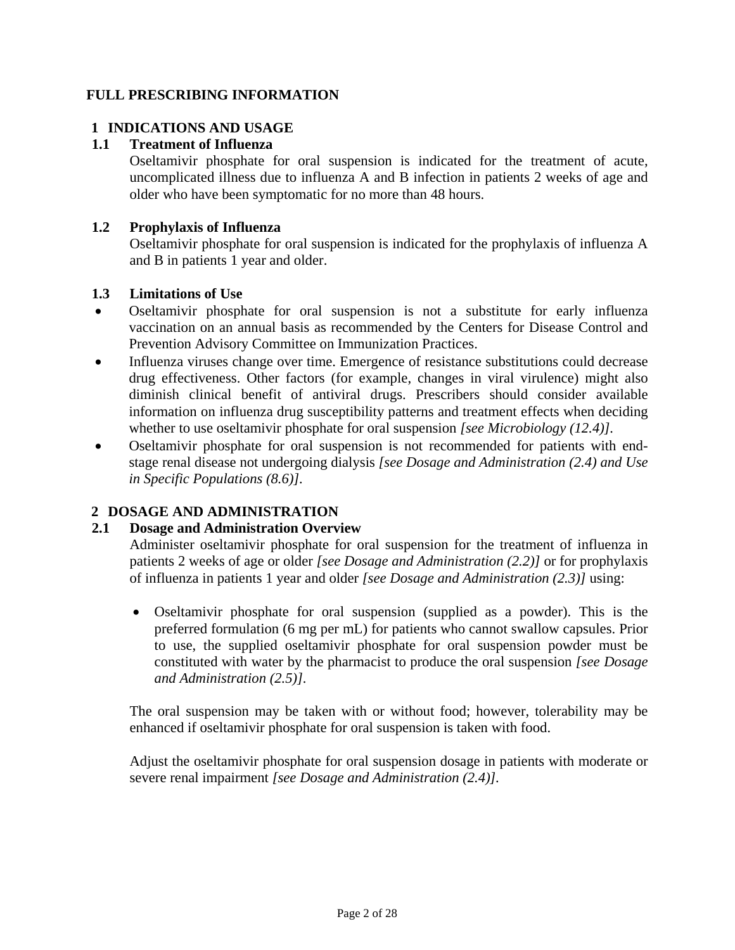# <span id="page-1-5"></span><span id="page-1-4"></span><span id="page-1-3"></span>**FULL PRESCRIBING INFORMATION**

# **1 INDICATIONS AND USAGE**

# <span id="page-1-0"></span>**1.1 Treatment of Influenza**

Oseltamivir phosphate for oral suspension is indicated for the treatment of acute, uncomplicated illness due to influenza A and B infection in patients 2 weeks of age and older who have been symptomatic for no more than 48 hours.

# <span id="page-1-1"></span>**1.2 Prophylaxis of Influenza**

Oseltamivir phosphate for oral suspension is indicated for the prophylaxis of influenza A and B in patients 1 year and older.

#### <span id="page-1-2"></span>**1.3 Limitations of Use**

- Oseltamivir phosphate for oral suspension is not a substitute for early influenza vaccination on an annual basis as recommended by the Centers for Disease Control and Prevention Advisory Committee on Immunization Practices.
- Influenza viruses change over time. Emergence of resistance substitutions could decrease drug effectiveness. Other factors (for example, changes in viral virulence) might also diminish clinical benefit of antiviral drugs. Prescribers should consider available information on influenza drug susceptibility patterns and treatment effects when deciding whether to use oseltamivir phosphate for oral suspension *[see Microbiology ([12.4\)](#page-16-0)].*
- Oseltamivir phosphate for oral suspension is not recommended for patients with endstage renal disease not undergoing dialysis *[see Dosage and Administration [\(2.4](#page-3-2)) and Use in Specific Populations ([8.6\)](#page-11-5)].*

# **2 DOSAGE AND ADMINISTRATION**

#### **2.1 Dosage and Administration Overview**

Administer oseltamivir phosphate for oral suspension for the treatment of influenza in patients 2 weeks of age or older *[see Dosage and Administration ([2.2\)](#page-2-3)]* or for prophylaxis of influenza in patients 1 year and older *[see Dosage and Administration ([2.3\)\]](#page-2-4)* using:

• Oseltamivir phosphate for oral suspension (supplied as a powder). This is the preferred formulation (6 mg per mL) for patients who cannot swallow capsules. Prior to use, the supplied oseltamivir phosphate for oral suspension powder must be constituted with water by the pharmacist to produce the oral suspension *[see Dosage and Administration ([2.5\)](#page-4-4)].*

The oral suspension may be taken with or without food; however, tolerability may be enhanced if oseltamivir phosphate for oral suspension is taken with food.

Adjust the oseltamivir phosphate for oral suspension dosage in patients with moderate or severe renal impairment *[see Dosage and Administration [\(2.4\)](#page-3-3)].*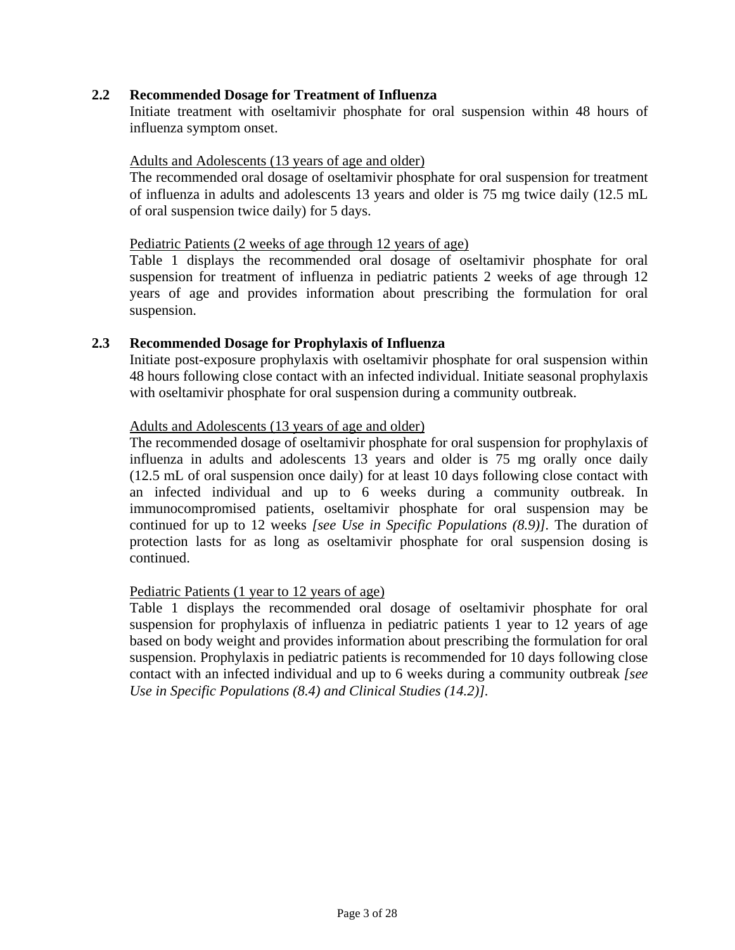#### <span id="page-2-3"></span><span id="page-2-2"></span><span id="page-2-0"></span>**2.2 Recommended Dosage for Treatment of Influenza**

Initiate treatment with oseltamivir phosphate for oral suspension within 48 hours of influenza symptom onset.

#### Adults and Adolescents (13 years of age and older)

The recommended oral dosage of oseltamivir phosphate for oral suspension for treatment of influenza in adults and adolescents 13 years and older is 75 mg twice daily (12.5 mL of oral suspension twice daily) for 5 days.

#### Pediatric Patients (2 weeks of age through 12 years of age)

[Table 1](#page-3-4) displays the recommended oral dosage of oseltamivir phosphate for oral suspension for treatment of influenza in pediatric patients 2 weeks of age through 12 years of age and provides information about prescribing the formulation for oral suspension.

#### <span id="page-2-4"></span><span id="page-2-1"></span>**2.3 Recommended Dosage for Prophylaxis of Influenza**

Initiate post-exposure prophylaxis with oseltamivir phosphate for oral suspension within 48 hours following close contact with an infected individual. Initiate seasonal prophylaxis with oseltamivir phosphate for oral suspension during a community outbreak.

#### Adults and Adolescents (13 years of age and older)

The recommended dosage of oseltamivir phosphate for oral suspension for prophylaxis of influenza in adults and adolescents 13 years and older is 75 mg orally once daily (12.5 mL of oral suspension once daily) for at least 10 days following close contact with an infected individual and up to 6 weeks during a community outbreak. In immunocompromised patients, oseltamivir phosphate for oral suspension may be continued for up to 12 weeks *[see Use in Specific Populations [\(8.9\)](#page-11-6)].* The duration of protection lasts for as long as oseltamivir phosphate for oral suspension dosing is continued.

#### Pediatric Patients (1 year to 12 years of age)

[Table 1](#page-3-4) displays the recommended oral dosage of oseltamivir phosphate for oral suspension for prophylaxis of influenza in pediatric patients 1 year to 12 years of age based on body weight and provides information about prescribing the formulation for oral suspension. Prophylaxis in pediatric patients is recommended for 10 days following close contact with an infected individual and up to 6 weeks during a community outbreak *[see Use in Specific Populations [\(8.4\)](#page-9-2) and Clinical Studies [\(14.2\)](#page-20-1)].*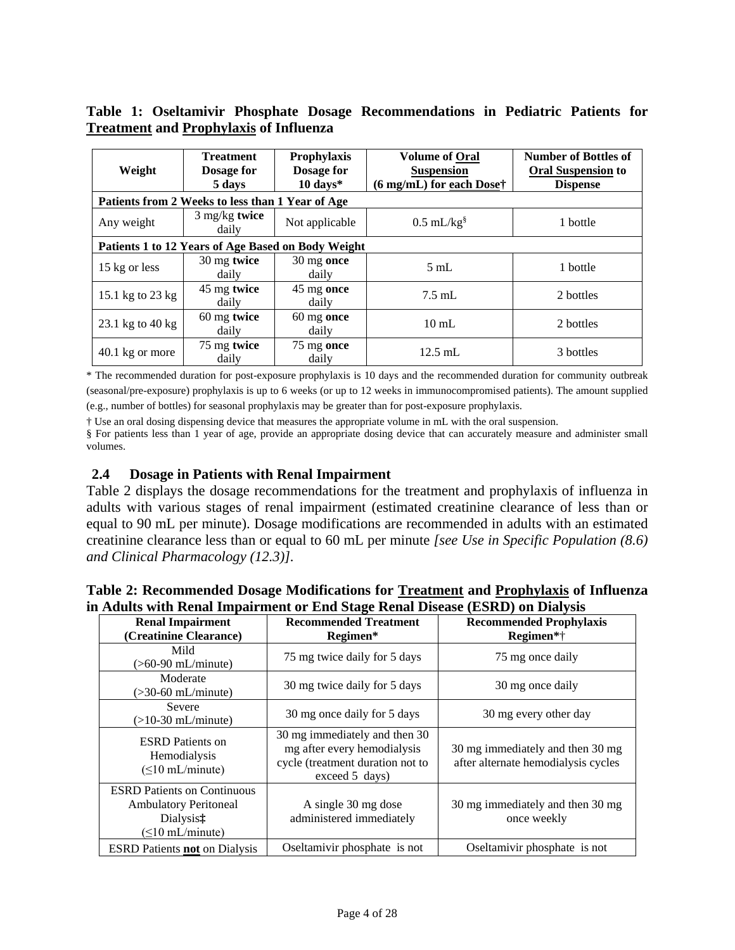| Weight                                             | <b>Treatment</b><br>Dosage for<br>5 days         | Prophylaxis<br>Dosage for<br>$10 \text{ days}^*$ | <b>Volume of Oral</b><br><b>Suspension</b><br>(6 mg/mL) for each Dose† | <b>Number of Bottles of</b><br><b>Oral Suspension to</b><br><b>Dispense</b> |  |  |  |
|----------------------------------------------------|--------------------------------------------------|--------------------------------------------------|------------------------------------------------------------------------|-----------------------------------------------------------------------------|--|--|--|
|                                                    | Patients from 2 Weeks to less than 1 Year of Age |                                                  |                                                                        |                                                                             |  |  |  |
| Any weight                                         | $3$ mg/kg twice<br>daily                         | Not applicable                                   | $0.5$ mL/kg <sup>§</sup>                                               | 1 bottle                                                                    |  |  |  |
| Patients 1 to 12 Years of Age Based on Body Weight |                                                  |                                                  |                                                                        |                                                                             |  |  |  |
| 15 kg or less                                      | 30 mg twice<br>daily                             | 30 mg once<br>daily                              | $5 \text{ mL}$                                                         | 1 bottle                                                                    |  |  |  |
| 15.1 kg to 23 kg                                   | 45 mg twice<br>daily                             | 45 mg once<br>daily                              | $7.5$ mL                                                               | 2 bottles                                                                   |  |  |  |
| 23.1 kg to 40 kg                                   | 60 mg twice<br>daily                             | $60 \text{ mg}$ once<br>daily                    | $10 \text{ mL}$                                                        | 2 bottles                                                                   |  |  |  |
| 40.1 kg or more                                    | 75 mg twice<br>daily                             | $75 \text{ mg}$ once<br>daily                    | $12.5$ mL                                                              | 3 bottles                                                                   |  |  |  |

<span id="page-3-6"></span><span id="page-3-4"></span><span id="page-3-1"></span>**Table 1: Oseltamivir Phosphate Dosage Recommendations in Pediatric Patients for Treatment and Prophylaxis of Influenza** 

<span id="page-3-5"></span>\* The recommended duration for post-exposure prophylaxis is 10 days and the recommended duration for community outbreak (seasonal/pre-exposure) prophylaxis is up to 6 weeks (or up to 12 weeks in immunocompromised patients). The amount supplied (e.g., number of bottles) for seasonal prophylaxis may be greater than for post-exposure prophylaxis.

† Use an oral dosing dispensing device that measures the appropriate volume in mL with the oral suspension.

§ For patients less than 1 year of age, provide an appropriate dosing device that can accurately measure and administer small volumes.

# **2.4 Dosage in Patients with Renal Impairment**

<span id="page-3-3"></span><span id="page-3-2"></span><span id="page-3-0"></span>Table 2 displays the dosage recommendations for the treatment and prophylaxis of influenza in adults with various stages of renal impairment (estimated creatinine clearance of less than or equal to 90 mL per minute). Dosage modifications are recommended in adults with an estimated creatinine clearance less than or equal to 60 mL per minute *[see Use in Specific Population [\(8.6\)](#page-11-5) and Clinical Pharmacology [\(12.3\)](#page-12-3)].*

#### **Table 2: Recommended Dosage Modifications for Treatment and Prophylaxis of Influenza in Adults with Renal Impairment or End Stage Renal Disease (ESRD) on Dialysis**

| <b>Renal Impairment</b><br>(Creatinine Clearance)                                                        | <b>Recommended Treatment</b><br>Regimen*                                                                           | <b>Recommended Prophylaxis</b><br>Regimen*†                             |  |  |
|----------------------------------------------------------------------------------------------------------|--------------------------------------------------------------------------------------------------------------------|-------------------------------------------------------------------------|--|--|
| Mild<br>$($ >60-90 mL/minute)                                                                            | 75 mg twice daily for 5 days                                                                                       | 75 mg once daily                                                        |  |  |
| Moderate<br>$($ >30-60 mL/minute)                                                                        | 30 mg twice daily for 5 days                                                                                       | 30 mg once daily                                                        |  |  |
| Severe<br>$(>10-30$ mL/minute)                                                                           | 30 mg once daily for 5 days                                                                                        | 30 mg every other day                                                   |  |  |
| <b>ESRD</b> Patients on<br>Hemodialysis<br>$(\leq 10$ mL/minute)                                         | 30 mg immediately and then 30<br>mg after every hemodialysis<br>cycle (treatment duration not to<br>exceed 5 days) | 30 mg immediately and then 30 mg<br>after alternate hemodialysis cycles |  |  |
| <b>ESRD</b> Patients on Continuous<br><b>Ambulatory Peritoneal</b><br>Dialysis‡<br>$(\leq 10$ mL/minute) | A single 30 mg dose<br>administered immediately                                                                    | 30 mg immediately and then 30 mg<br>once weekly                         |  |  |
| <b>ESRD</b> Patients <b>not</b> on Dialysis                                                              | Oseltamivir phosphate is not                                                                                       | Oseltamivir phosphate is not                                            |  |  |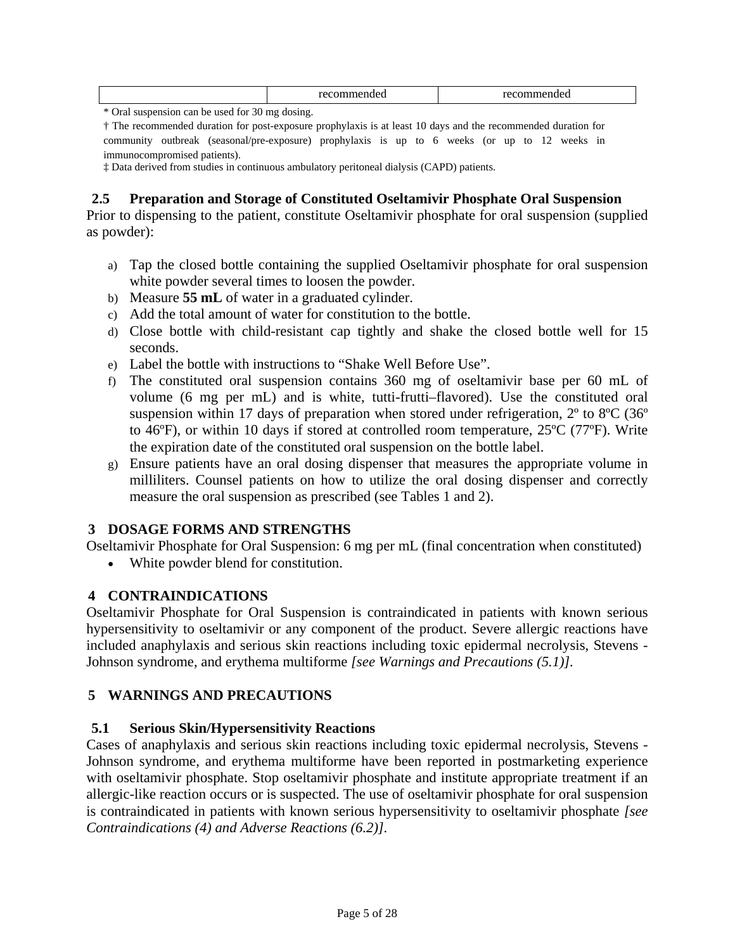<span id="page-4-6"></span><span id="page-4-5"></span><span id="page-4-3"></span><span id="page-4-2"></span>

| . | . |
|---|---|
|   |   |

\* Oral suspension can be used for 30 mg dosing.

† The recommended duration for post-exposure prophylaxis is at least 10 days and the recommended duration for community outbreak (seasonal/pre-exposure) prophylaxis is up to 6 weeks (or up to 12 weeks in immunocompromised patients).

‡ Data derived from studies in continuous ambulatory peritoneal dialysis (CAPD) patients.

# <span id="page-4-4"></span>**2.5 Preparation and Storage of Constituted Oseltamivir Phosphate Oral Suspension**

Prior to dispensing to the patient, constitute Oseltamivir phosphate for oral suspension (supplied as powder):

- a) Tap the closed bottle containing the supplied Oseltamivir phosphate for oral suspension white powder several times to loosen the powder.
- b) Measure **55 mL** of water in a graduated cylinder.
- c) Add the total amount of water for constitution to the bottle.
- d) Close bottle with child-resistant cap tightly and shake the closed bottle well for 15 seconds.
- e) Label the bottle with instructions to "Shake Well Before Use".
- f) The constituted oral suspension contains 360 mg of oseltamivir base per 60 mL of volume (6 mg per mL) and is white, tutti-frutti–flavored). Use the constituted oral suspension within 17 days of preparation when stored under refrigeration, 2º to 8ºC (36º to 46ºF), or within 10 days if stored at controlled room temperature, 25ºC (77ºF). Write the expiration date of the constituted oral suspension on the bottle label.
- g) Ensure patients have an oral dosing dispenser that measures the appropriate volume in milliliters. Counsel patients on how to utilize the oral dosing dispenser and correctly measure the oral suspension as prescribed (see [Tables 1](#page-3-4) and [2\)](#page-3-5).

# **3 DOSAGE FORMS AND STRENGTHS**

<span id="page-4-0"></span>Oseltamivir Phosphate for Oral Suspension: 6 mg per mL (final concentration when constituted)

• White powder blend for constitution.

# <span id="page-4-1"></span>**4 CONTRAINDICATIONS**

Oseltamivir Phosphate for Oral Suspension is contraindicated in patients with known serious hypersensitivity to oseltamivir or any component of the product. Severe allergic reactions have included anaphylaxis and serious skin reactions including toxic epidermal necrolysis, Stevens - Johnson syndrome, and erythema multiforme *[see Warnings and Precaution[s \(5.1\)](#page-4-5)].*

# **5 WARNINGS AND PRECAUTIONS**

#### **5.1 Serious Skin/Hypersensitivity Reactions**

Cases of anaphylaxis and serious skin reactions including toxic epidermal necrolysis, Stevens - Johnson syndrome, and erythema multiforme have been reported in postmarketing experience with oseltamivir phosphate. Stop oseltamivir phosphate and institute appropriate treatment if an allergic-like reaction occurs or is suspected. The use of oseltamivir phosphate for oral suspension is contraindicated in patients with known serious hypersensitivity to oseltamivir phosphate *[see Contraindications [\(4\)](#page-4-5) and Adverse Reaction[s \(6.2\)\].](#page-7-1)*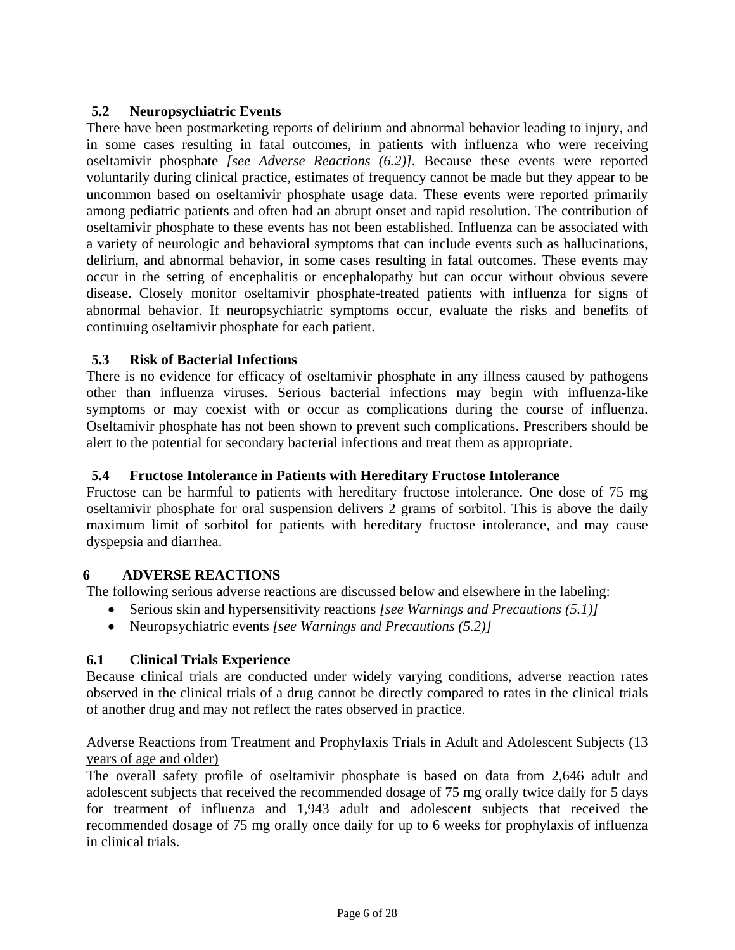# <span id="page-5-4"></span><span id="page-5-2"></span><span id="page-5-1"></span>**5.2 Neuropsychiatric Events**

<span id="page-5-3"></span><span id="page-5-0"></span>There have been postmarketing reports of delirium and abnormal behavior leading to injury, and in some cases resulting in fatal outcomes, in patients with influenza who were receiving oseltamivir phosphate *[see Adverse Reactions [\(6.2\)\]](#page-7-2).* Because these events were reported voluntarily during clinical practice, estimates of frequency cannot be made but they appear to be uncommon based on oseltamivir phosphate usage data. These events were reported primarily among pediatric patients and often had an abrupt onset and rapid resolution. The contribution of oseltamivir phosphate to these events has not been established. Influenza can be associated with a variety of neurologic and behavioral symptoms that can include events such as hallucinations, delirium, and abnormal behavior, in some cases resulting in fatal outcomes. These events may occur in the setting of encephalitis or encephalopathy but can occur without obvious severe disease. Closely monitor oseltamivir phosphate-treated patients with influenza for signs of abnormal behavior. If neuropsychiatric symptoms occur, evaluate the risks and benefits of continuing oseltamivir phosphate for each patient.

# **5.3 Risk of Bacterial Infections**

There is no evidence for efficacy of oseltamivir phosphate in any illness caused by pathogens other than influenza viruses. Serious bacterial infections may begin with influenza-like symptoms or may coexist with or occur as complications during the course of influenza. Oseltamivir phosphate has not been shown to prevent such complications. Prescribers should be alert to the potential for secondary bacterial infections and treat them as appropriate.

# **5.4 Fructose Intolerance in Patients with Hereditary Fructose Intolerance**

Fructose can be harmful to patients with hereditary fructose intolerance. One dose of 75 mg oseltamivir phosphate for oral suspension delivers 2 grams of sorbitol. This is above the daily maximum limit of sorbitol for patients with hereditary fructose intolerance, and may cause dyspepsia and diarrhea.

# **6 ADVERSE REACTIONS**

The following serious adverse reactions are discussed below and elsewhere in the labeling:

- Serious skin and hypersensitivity reactions *[see Warnings and Precautions [\(5.1\)\]](#page-5-2)*
- Neuropsychiatric events *[see Warnings and Precautions [\(5.2\)\]](#page-5-3)*

# **6.1 Clinical Trials Experience**

Because clinical trials are conducted under widely varying conditions, adverse reaction rates observed in the clinical trials of a drug cannot be directly compared to rates in the clinical trials of another drug and may not reflect the rates observed in practice.

# Adverse Reactions from Treatment and Prophylaxis Trials in Adult and Adolescent Subjects (13 years of age and older)

The overall safety profile of oseltamivir phosphate is based on data from 2,646 adult and adolescent subjects that received the recommended dosage of 75 mg orally twice daily for 5 days for treatment of influenza and 1,943 adult and adolescent subjects that received the recommended dosage of 75 mg orally once daily for up to 6 weeks for prophylaxis of influenza in clinical trials.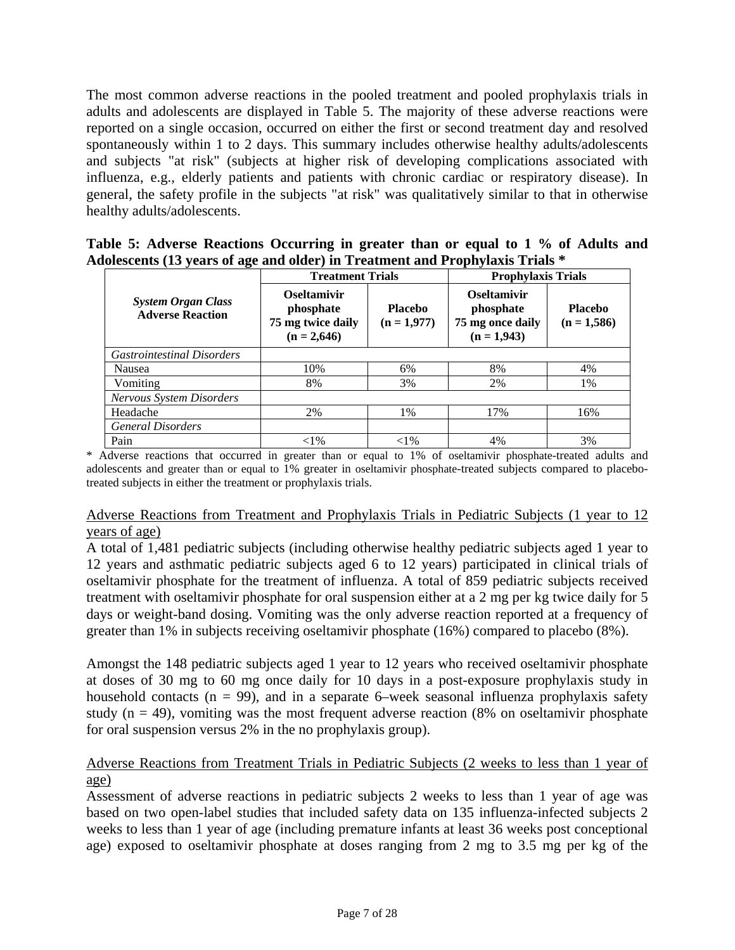The most common adverse reactions in the pooled treatment and pooled prophylaxis trials in adults and adolescents are displayed in Table 5. The majority of these adverse reactions were reported on a single occasion, occurred on either the first or second treatment day and resolved spontaneously within 1 to 2 days. This summary includes otherwise healthy adults/adolescents and subjects "at risk" (subjects at higher risk of developing complications associated with influenza, e.g., elderly patients and patients with chronic cardiac or respiratory disease). In general, the safety profile in the subjects "at risk" was qualitatively similar to that in otherwise healthy adults/adolescents.

| Table 5: Adverse Reactions Occurring in greater than or equal to 1 % of Adults and |  |  |  |  |  |
|------------------------------------------------------------------------------------|--|--|--|--|--|
| Adolescents (13 years of age and older) in Treatment and Prophylaxis Trials *      |  |  |  |  |  |

|                                                      | <b>Treatment Trials</b>                                                                                  |          | <b>Prophylaxis Trials</b>                                            |                                 |  |  |
|------------------------------------------------------|----------------------------------------------------------------------------------------------------------|----------|----------------------------------------------------------------------|---------------------------------|--|--|
| <b>System Organ Class</b><br><b>Adverse Reaction</b> | <b>Oseltamivir</b><br>phosphate<br><b>Placebo</b><br>75 mg twice daily<br>$(n = 1,977)$<br>$(n = 2,646)$ |          | <b>Oseltamivir</b><br>phosphate<br>75 mg once daily<br>$(n = 1,943)$ | <b>Placebo</b><br>$(n = 1,586)$ |  |  |
| <b>Gastrointestinal Disorders</b>                    |                                                                                                          |          |                                                                      |                                 |  |  |
| Nausea                                               | 10%                                                                                                      | 6%       | 8%                                                                   | 4%                              |  |  |
| Vomiting                                             | 8%                                                                                                       | 3%       | 2%                                                                   | 1%                              |  |  |
| <b>Nervous System Disorders</b>                      |                                                                                                          |          |                                                                      |                                 |  |  |
| Headache                                             | 2%                                                                                                       | 1%       | 17%                                                                  | 16%                             |  |  |
| <b>General Disorders</b>                             |                                                                                                          |          |                                                                      |                                 |  |  |
| Pain                                                 | ${<}1\%$                                                                                                 | ${<}1\%$ | 4%                                                                   | 3%                              |  |  |

\* Adverse reactions that occurred in greater than or equal to 1% of oseltamivir phosphate-treated adults and adolescents and greater than or equal to 1% greater in oseltamivir phosphate-treated subjects compared to placebotreated subjects in either the treatment or prophylaxis trials.

# Adverse Reactions from Treatment and Prophylaxis Trials in Pediatric Subjects (1 year to 12 years of age)

A total of 1,481 pediatric subjects (including otherwise healthy pediatric subjects aged 1 year to 12 years and asthmatic pediatric subjects aged 6 to 12 years) participated in clinical trials of oseltamivir phosphate for the treatment of influenza. A total of 859 pediatric subjects received treatment with oseltamivir phosphate for oral suspension either at a 2 mg per kg twice daily for 5 days or weight-band dosing. Vomiting was the only adverse reaction reported at a frequency of greater than 1% in subjects receiving oseltamivir phosphate (16%) compared to placebo (8%).

Amongst the 148 pediatric subjects aged 1 year to 12 years who received oseltamivir phosphate at doses of 30 mg to 60 mg once daily for 10 days in a post-exposure prophylaxis study in household contacts ( $n = 99$ ), and in a separate 6–week seasonal influenza prophylaxis safety study ( $n = 49$ ), vomiting was the most frequent adverse reaction (8% on oseltamivir phosphate for oral suspension versus 2% in the no prophylaxis group).

# Adverse Reactions from Treatment Trials in Pediatric Subjects (2 weeks to less than 1 year of age)

Assessment of adverse reactions in pediatric subjects 2 weeks to less than 1 year of age was based on two open-label studies that included safety data on 135 influenza-infected subjects 2 weeks to less than 1 year of age (including premature infants at least 36 weeks post conceptional age) exposed to oseltamivir phosphate at doses ranging from 2 mg to 3.5 mg per kg of the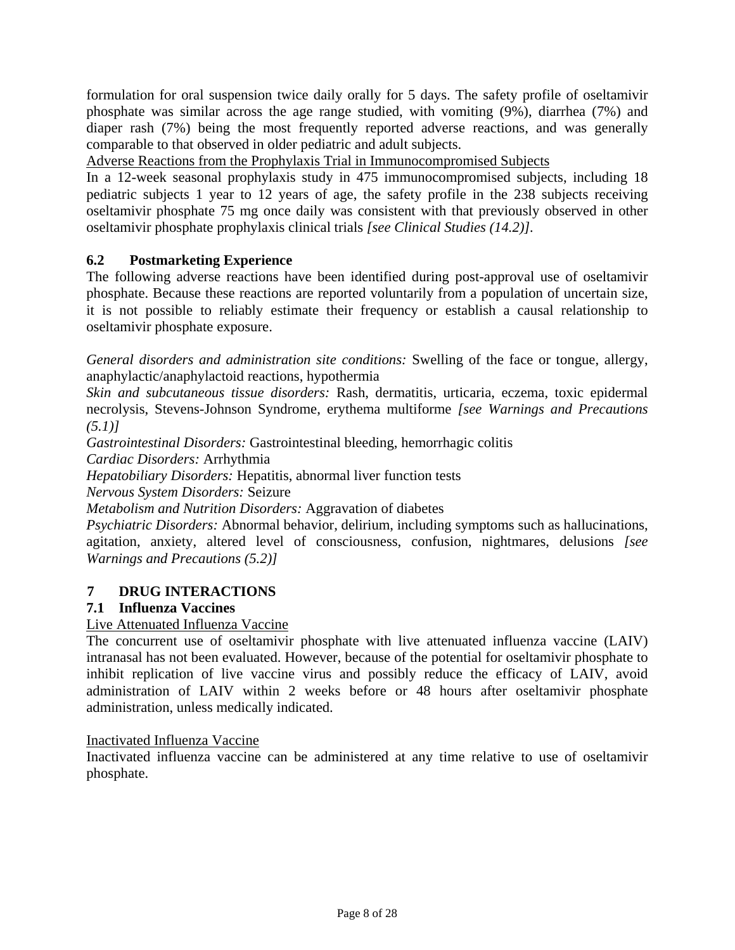<span id="page-7-3"></span><span id="page-7-1"></span><span id="page-7-0"></span>formulation for oral suspension twice daily orally for 5 days. The safety profile of oseltamivir phosphate was similar across the age range studied, with vomiting (9%), diarrhea (7%) and diaper rash (7%) being the most frequently reported adverse reactions, and was generally comparable to that observed in older pediatric and adult subjects.

Adverse Reactions from the Prophylaxis Trial in Immunocompromised Subjects

In a 12-week seasonal prophylaxis study in 475 immunocompromised subjects, including 18 pediatric subjects 1 year to 12 years of age, the safety profile in the 238 subjects receiving oseltamivir phosphate 75 mg once daily was consistent with that previously observed in other oseltamivir phosphate prophylaxis clinical trials *[see Clinical Studies ([14.2](#page-21-0))].*

# <span id="page-7-2"></span>**6.2 Postmarketing Experience**

The following adverse reactions have been identified during post-approval use of oseltamivir phosphate. Because these reactions are reported voluntarily from a population of uncertain size, it is not possible to reliably estimate their frequency or establish a causal relationship to oseltamivir phosphate exposure.

*General disorders and administration site conditions:* Swelling of the face or tongue, allergy, anaphylactic/anaphylactoid reactions, hypothermia

*Skin and subcutaneous tissue disorders:* Rash, dermatitis, urticaria, eczema, toxic epidermal necrolysis, Stevens-Johnson Syndrome, erythema multiforme *[see Warnings and Precautions*   $(5.1)$ 

*Gastrointestinal Disorders:* Gastrointestinal bleeding, hemorrhagic colitis

*Cardiac Disorders:* Arrhythmia

*Hepatobiliary Disorders:* Hepatitis, abnormal liver function tests

*Nervous System Disorders:* Seizure

*Metabolism and Nutrition Disorders:* Aggravation of diabetes

*Psychiatric Disorders:* Abnormal behavior, delirium, including symptoms such as hallucinations, agitation, anxiety, altered level of consciousness, confusion, nightmares, delusions *[see Warnings and Precautions [\(5.2\)\]](#page-5-3)* 

# **7 DRUG INTERACTIONS**

# **7.1 Influenza Vaccines**

Live Attenuated Influenza Vaccine

The concurrent use of oseltamivir phosphate with live attenuated influenza vaccine (LAIV) intranasal has not been evaluated. However, because of the potential for oseltamivir phosphate to inhibit replication of live vaccine virus and possibly reduce the efficacy of LAIV, avoid administration of LAIV within 2 weeks before or 48 hours after oseltamivir phosphate administration, unless medically indicated.

#### Inactivated Influenza Vaccine

Inactivated influenza vaccine can be administered at any time relative to use of oseltamivir phosphate.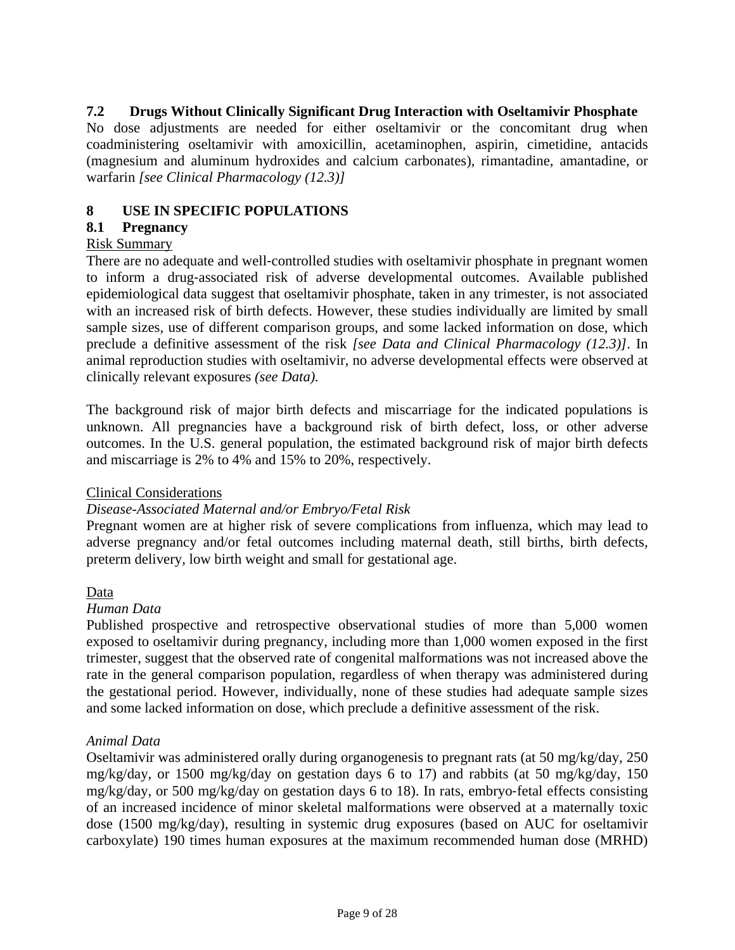# <span id="page-8-2"></span><span id="page-8-0"></span>**7.2 Drugs Without Clinically Significant Drug Interaction with Oseltamivir Phosphate**

<span id="page-8-1"></span>No dose adjustments are needed for either oseltamivir or the concomitant drug when coadministering oseltamivir with amoxicillin, acetaminophen, aspirin, cimetidine, antacids (magnesium and aluminum hydroxides and calcium carbonates), rimantadine, amantadine, or warfarin *[see Clinical Pharmacology [\(12.3\)\]](#page-12-3)*

## **8 USE IN SPECIFIC POPULATIONS**

## **8.1 Pregnancy**

#### Risk Summary

There are no adequate and well-controlled studies with oseltamivir phosphate in pregnant women to inform a drug‐associated risk of adverse developmental outcomes. Available published epidemiological data suggest that oseltamivir phosphate, taken in any trimester, is not associated with an increased risk of birth defects. However, these studies individually are limited by small sample sizes, use of different comparison groups, and some lacked information on dose, which preclude a definitive assessment of the risk *[see Data and Clinical Pharmacology [\(12.3\)\]](#page-12-3)*. In animal reproduction studies with oseltamivir, no adverse developmental effects were observed at clinically relevant exposures *[\(see Data\)](#page-8-1).*

The background risk of major birth defects and miscarriage for the indicated populations is unknown. All pregnancies have a background risk of birth defect, loss, or other adverse outcomes. In the U.S. general population, the estimated background risk of major birth defects and miscarriage is 2% to 4% and 15% to 20%, respectively.

#### Clinical Considerations

#### *Disease-Associated Maternal and/or Embryo/Fetal Risk*

Pregnant women are at higher risk of severe complications from influenza, which may lead to adverse pregnancy and/or fetal outcomes including maternal death, still births, birth defects, preterm delivery, low birth weight and small for gestational age.

#### Data

#### *Human Data*

Published prospective and retrospective observational studies of more than 5,000 women exposed to oseltamivir during pregnancy, including more than 1,000 women exposed in the first trimester, suggest that the observed rate of congenital malformations was not increased above the rate in the general comparison population, regardless of when therapy was administered during the gestational period. However, individually, none of these studies had adequate sample sizes and some lacked information on dose, which preclude a definitive assessment of the risk.

#### *Animal Data*

Oseltamivir was administered orally during organogenesis to pregnant rats (at 50 mg/kg/day, 250 mg/kg/day, or 1500 mg/kg/day on gestation days 6 to 17) and rabbits (at 50 mg/kg/day, 150 mg/kg/day, or 500 mg/kg/day on gestation days 6 to 18). In rats, embryo‐fetal effects consisting of an increased incidence of minor skeletal malformations were observed at a maternally toxic dose (1500 mg/kg/day), resulting in systemic drug exposures (based on AUC for oseltamivir carboxylate) 190 times human exposures at the maximum recommended human dose (MRHD)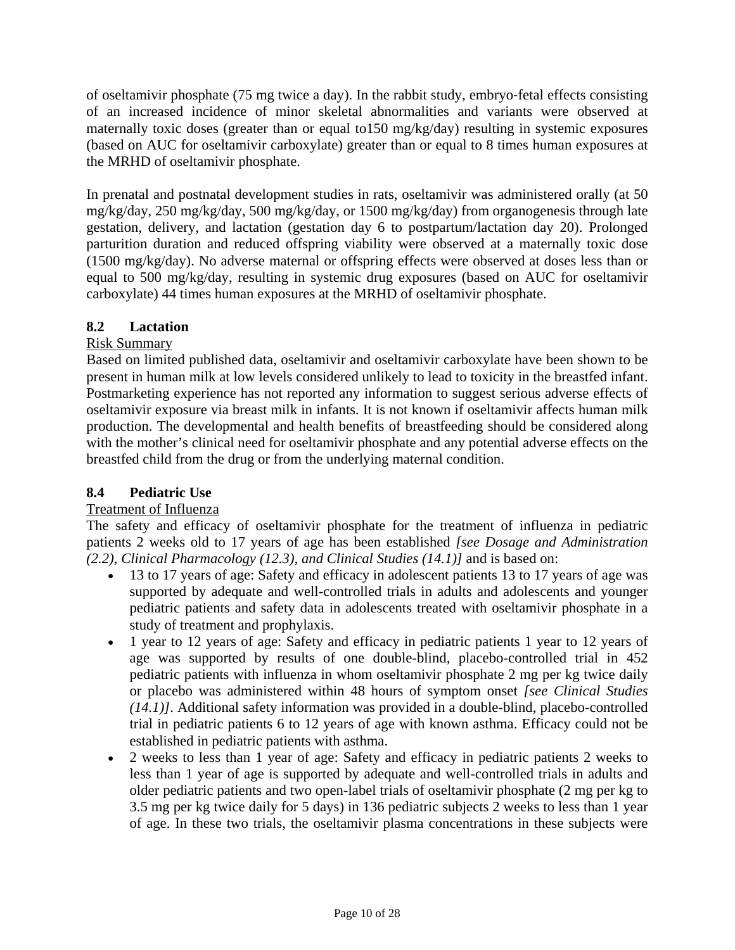<span id="page-9-3"></span>of oseltamivir phosphate (75 mg twice a day). In the rabbit study, embryo‐fetal effects consisting of an increased incidence of minor skeletal abnormalities and variants were observed at maternally toxic doses (greater than or equal to150 mg/kg/day) resulting in systemic exposures (based on AUC for oseltamivir carboxylate) greater than or equal to 8 times human exposures at the MRHD of oseltamivir phosphate.

In prenatal and postnatal development studies in rats, oseltamivir was administered orally (at 50 mg/kg/day, 250 mg/kg/day, 500 mg/kg/day, or 1500 mg/kg/day) from organogenesis through late gestation, delivery, and lactation (gestation day 6 to postpartum/lactation day 20). Prolonged parturition duration and reduced offspring viability were observed at a maternally toxic dose (1500 mg/kg/day). No adverse maternal or offspring effects were observed at doses less than or equal to 500 mg/kg/day, resulting in systemic drug exposures (based on AUC for oseltamivir carboxylate) 44 times human exposures at the MRHD of oseltamivir phosphate.

# <span id="page-9-0"></span>**8.2 Lactation**

# Risk Summary

Based on limited published data, oseltamivir and oseltamivir carboxylate have been shown to be present in human milk at low levels considered unlikely to lead to toxicity in the breastfed infant. Postmarketing experience has not reported any information to suggest serious adverse effects of oseltamivir exposure via breast milk in infants. It is not known if oseltamivir affects human milk production. The developmental and health benefits of breastfeeding should be considered along with the mother's clinical need for oseltamivir phosphate and any potential adverse effects on the breastfed child from the drug or from the underlying maternal condition.

# <span id="page-9-2"></span><span id="page-9-1"></span>**8.4 Pediatric Use**

# Treatment of Influenza

The safety and efficacy of oseltamivir phosphate for the treatment of influenza in pediatric patients 2 weeks old to 17 years of age has been established *[see Dosage and Administration [\(2.2\),](#page-2-3) Clinical Pharmacology [\(12.3\)](#page-12-3), and Clinical Studies [\(14.1\)\]](#page-19-2)* and is based on:

- 13 to 17 years of age: Safety and efficacy in adolescent patients 13 to 17 years of age was supported by adequate and well-controlled trials in adults and adolescents and younger pediatric patients and safety data in adolescents treated with oseltamivir phosphate in a study of treatment and prophylaxis.
- 1 year to 12 years of age: Safety and efficacy in pediatric patients 1 year to 12 years of age was supported by results of one double-blind, placebo-controlled trial in 452 pediatric patients with influenza in whom oseltamivir phosphate 2 mg per kg twice daily or placebo was administered within 48 hours of symptom onset *[see Clinical Studies [\(14.1](#page-19-2))]*. Additional safety information was provided in a double-blind, placebo-controlled trial in pediatric patients 6 to 12 years of age with known asthma. Efficacy could not be established in pediatric patients with asthma.
- 2 weeks to less than 1 year of age: Safety and efficacy in pediatric patients 2 weeks to less than 1 year of age is supported by adequate and well-controlled trials in adults and older pediatric patients and two open-label trials of oseltamivir phosphate (2 mg per kg to 3.5 mg per kg twice daily for 5 days) in 136 pediatric subjects 2 weeks to less than 1 year of age. In these two trials, the oseltamivir plasma concentrations in these subjects were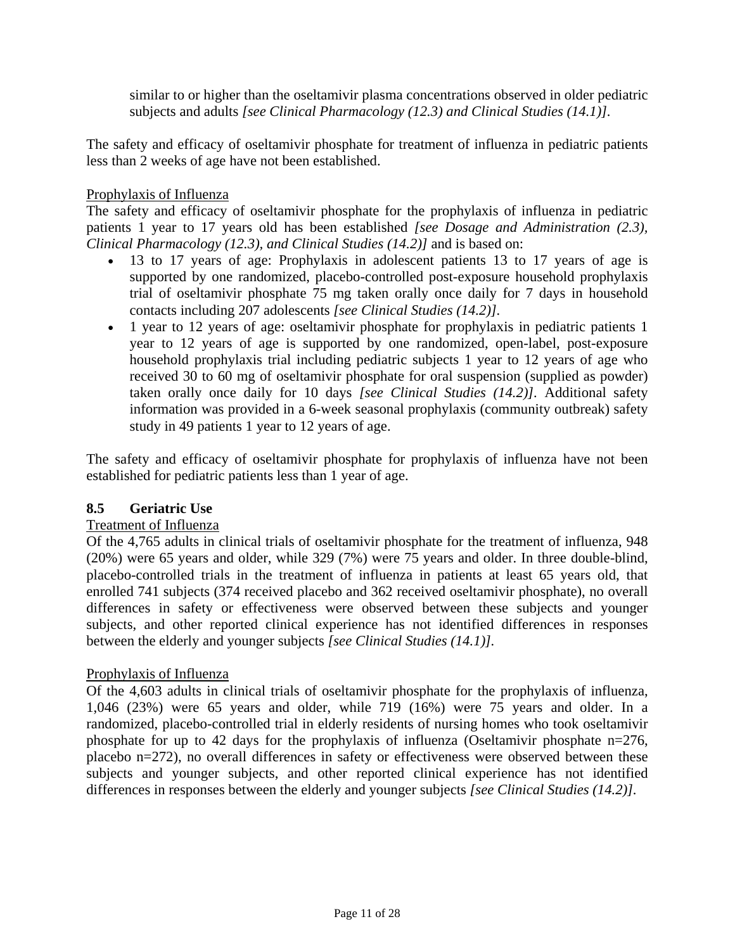similar to or higher than the oseltamivir plasma concentrations observed in older pediatric subjects and adults *[see Clinical Pharmacology [\(12.3](#page-12-3)) and Clinical Studies [\(14.1](#page-19-2))].*

<span id="page-10-2"></span><span id="page-10-1"></span>The safety and efficacy of oseltamivir phosphate for treatment of influenza in pediatric patients less than 2 weeks of age have not been established.

## Prophylaxis of Influenza

The safety and efficacy of oseltamivir phosphate for the prophylaxis of influenza in pediatric patients 1 year to 17 years old has been established *[see Dosage and Administration [\(2.3\),](#page-2-4) Clinical Pharmacology [\(12.3\)](#page-12-3), and Clinical Studies [\(14.2\)\]](#page-20-2)* and is based on:

- 13 to 17 years of age: Prophylaxis in adolescent patients 13 to 17 years of age is supported by one randomized, placebo-controlled post-exposure household prophylaxis trial of oseltamivir phosphate 75 mg taken orally once daily for 7 days in household contacts including 207 adolescents *[see Clinical Studies [\(14.2\)](#page-20-3)].*
- 1 year to 12 years of age: oseltamivir phosphate for prophylaxis in pediatric patients 1 year to 12 years of age is supported by one randomized, open-label, post-exposure household prophylaxis trial including pediatric subjects 1 year to 12 years of age who received 30 to 60 mg of oseltamivir phosphate for oral suspension (supplied as powder) taken orally once daily for 10 days *[see Clinical Studies [\(14.2\)\].](#page-20-3)* Additional safety information was provided in a 6-week seasonal prophylaxis (community outbreak) safety study in 49 patients 1 year to 12 years of age.

The safety and efficacy of oseltamivir phosphate for prophylaxis of influenza have not been established for pediatric patients less than 1 year of age.

#### <span id="page-10-0"></span>**8.5 Geriatric Use**

## Treatment of Influenza

Of the 4,765 adults in clinical trials of oseltamivir phosphate for the treatment of influenza, 948 (20%) were 65 years and older, while 329 (7%) were 75 years and older. In three double-blind, placebo-controlled trials in the treatment of influenza in patients at least 65 years old, that enrolled 741 subjects (374 received placebo and 362 received oseltamivir phosphate), no overall differences in safety or effectiveness were observed between these subjects and younger subjects, and other reported clinical experience has not identified differences in responses between the elderly and younger subjects *[see Clinical Studies [\(14.1\)\]](#page-19-3).*

#### Prophylaxis of Influenza

Of the 4,603 adults in clinical trials of oseltamivir phosphate for the prophylaxis of influenza, 1,046 (23%) were 65 years and older, while 719 (16%) were 75 years and older. In a randomized, placebo-controlled trial in elderly residents of nursing homes who took oseltamivir phosphate for up to 42 days for the prophylaxis of influenza (Oseltamivir phosphate n=276, placebo n=272), no overall differences in safety or effectiveness were observed between these subjects and younger subjects, and other reported clinical experience has not identified differences in responses between the elderly and younger subjects *[see Clinical Studies ([14.2\)\].](#page-20-3)*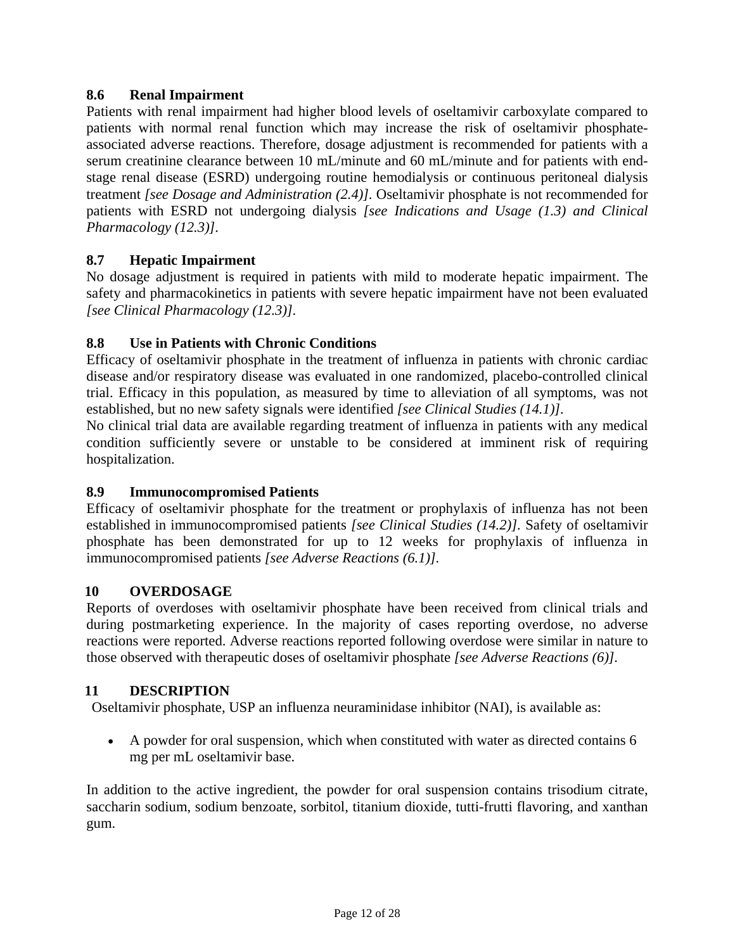# <span id="page-11-7"></span><span id="page-11-5"></span><span id="page-11-0"></span>**8.6 Renal Impairment**

Patients with renal impairment had higher blood levels of oseltamivir carboxylate compared to patients with normal renal function which may increase the risk of oseltamivir phosphateassociated adverse reactions. Therefore, dosage adjustment is recommended for patients with a serum creatinine clearance between 10 mL/minute and 60 mL/minute and for patients with endstage renal disease (ESRD) undergoing routine hemodialysis or continuous peritoneal dialysis treatment *[see Dosage and Administration [\(2.4\)\]](#page-3-6).* Oseltamivir phosphate is not recommended for patients with ESRD not undergoing dialysis *[see Indications and Usage [\(1.3\)](#page-1-4) and Clinical Pharmacology [\(12.3\)\]](#page-12-4).*

# <span id="page-11-1"></span>**8.7 Hepatic Impairment**

No dosage adjustment is required in patients with mild to moderate hepatic impairment. The safety and pharmacokinetics in patients with severe hepatic impairment have not been evaluated *[see Clinical Pharmacology [\(12.3\)](#page-12-4)].*

# <span id="page-11-2"></span>**8.8 Use in Patients with Chronic Conditions**

Efficacy of oseltamivir phosphate in the treatment of influenza in patients with chronic cardiac disease and/or respiratory disease was evaluated in one randomized, placebo-controlled clinical trial. Efficacy in this population, as measured by time to alleviation of all symptoms, was not established, but no new safety signals were identified *[see Clinical Studies [\(14.1](#page-19-3))].*

No clinical trial data are available regarding treatment of influenza in patients with any medical condition sufficiently severe or unstable to be considered at imminent risk of requiring hospitalization.

# <span id="page-11-6"></span><span id="page-11-3"></span>**8.9 Immunocompromised Patients**

Efficacy of oseltamivir phosphate for the treatment or prophylaxis of influenza has not been established in immunocompromised patients *[see Clinical Studies (14.2)].* Safety of oseltamivir phosphate has been demonstrated for up to 12 weeks for prophylaxis of influenza in immunocompromised patients *[see Adverse Reactions [\(6.1\)\]](#page-5-4).*

# <span id="page-11-4"></span>**10 OVERDOSAGE**

Reports of overdoses with oseltamivir phosphate have been received from clinical trials and during postmarketing experience. In the majority of cases reporting overdose, no adverse reactions were reported. Adverse reactions reported following overdose were similar in nature to those observed with therapeutic doses of oseltamivir phosphate *[see Adverse Reactions [\(6\)\]](#page-5-4).*

# **11 DESCRIPTION**

Oseltamivir phosphate, USP an influenza neuraminidase inhibitor (NAI), is available as:

• A powder for oral suspension, which when constituted with water as directed contains 6 mg per mL oseltamivir base.

In addition to the active ingredient, the powder for oral suspension contains trisodium citrate, saccharin sodium, sodium benzoate, sorbitol, titanium dioxide, tutti-frutti flavoring, and xanthan gum.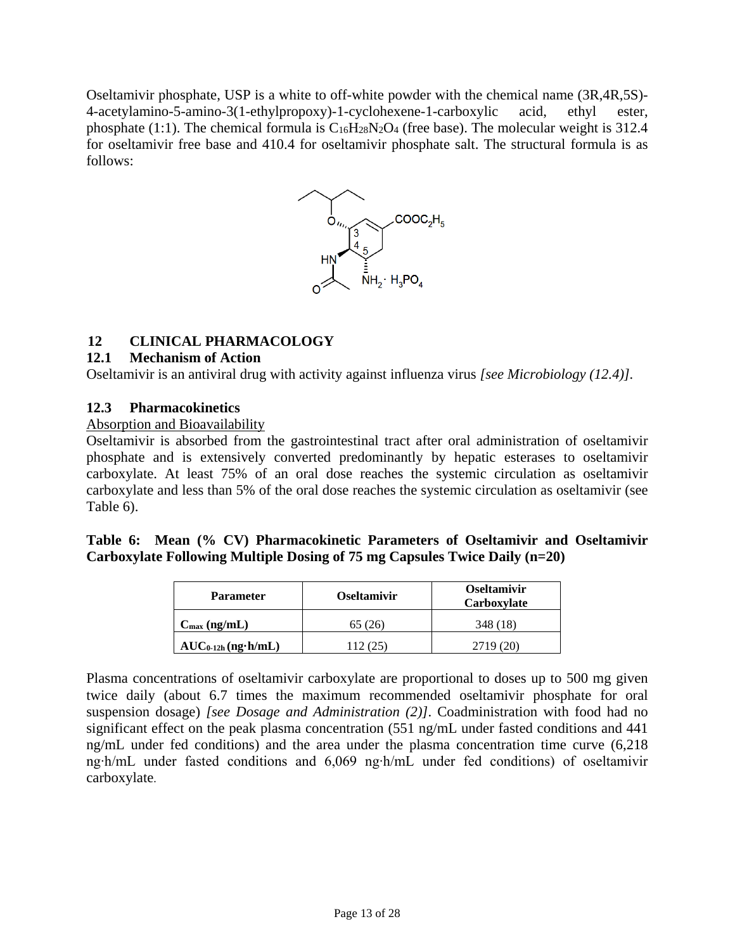<span id="page-12-4"></span><span id="page-12-0"></span>Oseltamivir phosphate, USP is a white to off-white powder with the chemical name (3R,4R,5S)- 4-acetylamino-5-amino-3(1-ethylpropoxy)-1-cyclohexene-1-carboxylic acid, ethyl ester, phosphate (1:1). The chemical formula is  $C_{16}H_{28}N_2O_4$  (free base). The molecular weight is 312.4 for oseltamivir free base and 410.4 for oseltamivir phosphate salt. The structural formula is as follows:



# <span id="page-12-1"></span>**12 CLINICAL PHARMACOLOGY**

# <span id="page-12-2"></span>**12.1 Mechanism of Action**

Oseltamivir is an antiviral drug with activity against influenza virus *[see Microbiology [\(12.4](#page-16-1))].*

#### <span id="page-12-3"></span>**12.3 Pharmacokinetics**

#### Absorption and Bioavailability

Oseltamivir is absorbed from the gastrointestinal tract after oral administration of oseltamivir phosphate and is extensively converted predominantly by hepatic esterases to oseltamivir carboxylate. At least 75% of an oral dose reaches the systemic circulation as oseltamivir carboxylate and less than 5% of the oral dose reaches the systemic circulation as oseltamivir (see Table 6).

**Table 6: Mean (% CV) Pharmacokinetic Parameters of Oseltamivir and Oseltamivir Carboxylate Following Multiple Dosing of 75 mg Capsules Twice Daily (n=20)** 

| <b>Parameter</b>           | <b>Oseltamivir</b> | <b>Oseltamivir</b><br>Carboxylate |  |  |  |
|----------------------------|--------------------|-----------------------------------|--|--|--|
| $C_{\text{max}}$ (ng/mL)   | 65 (26)            | 348 (18)                          |  |  |  |
| $AUC_{0-12h}$ (ng $h/mL$ ) | .12 (25)           | 2719 (20)                         |  |  |  |

Plasma concentrations of oseltamivir carboxylate are proportional to doses up to 500 mg given twice daily (about 6.7 times the maximum recommended oseltamivir phosphate for oral suspension dosage) *[see Dosage and Administration [\(2\)\]](#page-1-5)*. Coadministration with food had no significant effect on the peak plasma concentration (551 ng/mL under fasted conditions and 441 ng/mL under fed conditions) and the area under the plasma concentration time curve (6,218 ng∙h/mL under fasted conditions and 6,069 ng∙h/mL under fed conditions) of oseltamivir carboxylate.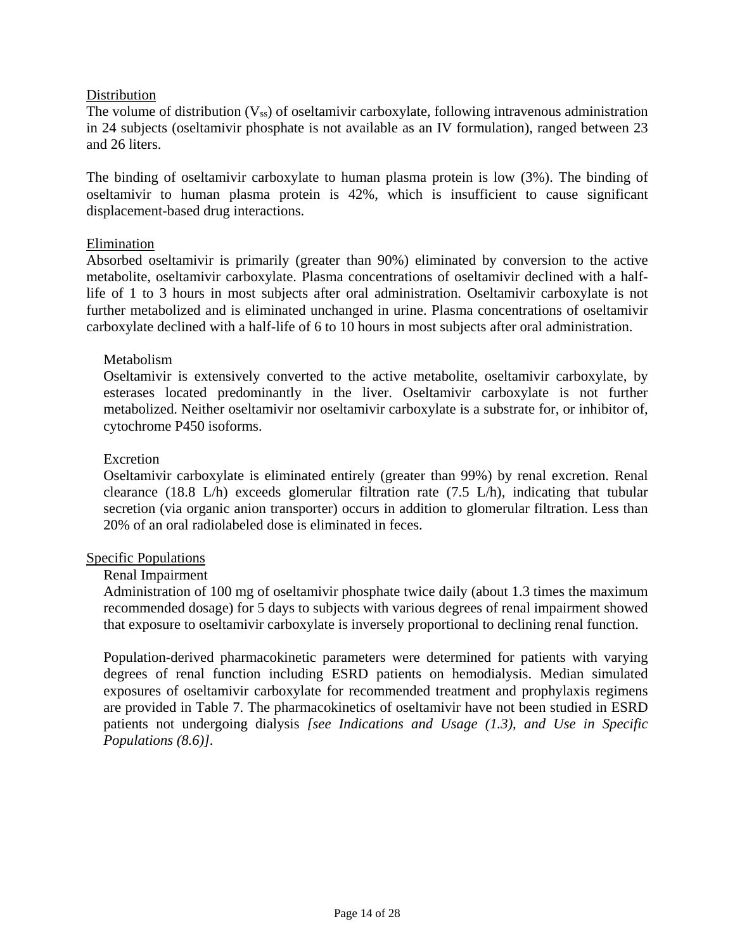## **Distribution**

The volume of distribution  $(V_{ss})$  of oseltamivir carboxylate, following intravenous administration in 24 subjects (oseltamivir phosphate is not available as an IV formulation), ranged between 23 and 26 liters.

The binding of oseltamivir carboxylate to human plasma protein is low (3%). The binding of oseltamivir to human plasma protein is 42%, which is insufficient to cause significant displacement-based drug interactions.

#### Elimination

Absorbed oseltamivir is primarily (greater than 90%) eliminated by conversion to the active metabolite, oseltamivir carboxylate. Plasma concentrations of oseltamivir declined with a halflife of 1 to 3 hours in most subjects after oral administration. Oseltamivir carboxylate is not further metabolized and is eliminated unchanged in urine. Plasma concentrations of oseltamivir carboxylate declined with a half-life of 6 to 10 hours in most subjects after oral administration.

#### Metabolism

Oseltamivir is extensively converted to the active metabolite, oseltamivir carboxylate, by esterases located predominantly in the liver. Oseltamivir carboxylate is not further metabolized. Neither oseltamivir nor oseltamivir carboxylate is a substrate for, or inhibitor of, cytochrome P450 isoforms.

#### Excretion

Oseltamivir carboxylate is eliminated entirely (greater than 99%) by renal excretion. Renal clearance (18.8 L/h) exceeds glomerular filtration rate (7.5 L/h), indicating that tubular secretion (via organic anion transporter) occurs in addition to glomerular filtration. Less than 20% of an oral radiolabeled dose is eliminated in feces.

#### Specific Populations

#### Renal Impairment

Administration of 100 mg of oseltamivir phosphate twice daily (about 1.3 times the maximum recommended dosage) for 5 days to subjects with various degrees of renal impairment showed that exposure to oseltamivir carboxylate is inversely proportional to declining renal function.

Population-derived pharmacokinetic parameters were determined for patients with varying degrees of renal function including ESRD patients on hemodialysis. Median simulated exposures of oseltamivir carboxylate for recommended treatment and prophylaxis regimens are provided in Table 7. The pharmacokinetics of oseltamivir have not been studied in ESRD patients not undergoing dialysis *[see Indications and Usage [\(1.3\)](#page-1-5), and Use in Specific Populations [\(8.6\)](#page-11-7)].*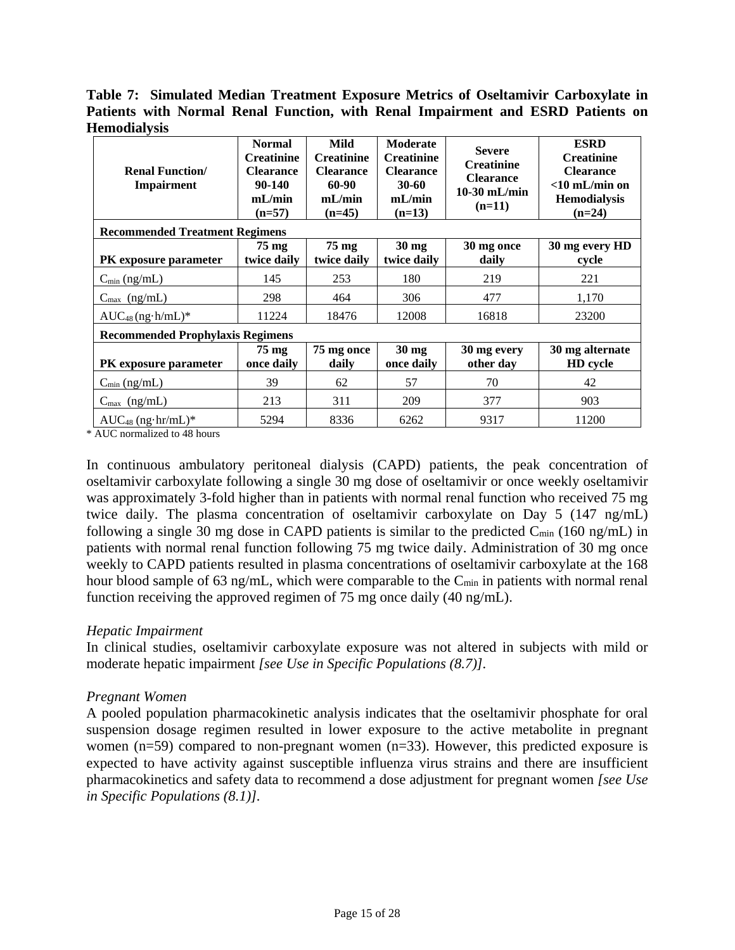**Table 7: Simulated Median Treatment Exposure Metrics of Oseltamivir Carboxylate in Patients with Normal Renal Function, with Renal Impairment and ESRD Patients on Hemodialysis**

| <b>Renal Function</b> /<br><b>Impairment</b> | <b>Normal</b><br><b>Creatinine</b><br><b>Clearance</b><br>90-140<br>mL/min<br>$(n=57)$ | Mild<br><b>Creatinine</b><br><b>Clearance</b><br>60-90<br>mL/min<br>$(n=45)$ | <b>Moderate</b><br><b>Creatinine</b><br><b>Clearance</b><br>$30 - 60$<br>mL/min<br>$(n=13)$ | <b>Severe</b><br><b>Creatinine</b><br><b>Clearance</b><br>$10-30$ mL/min<br>$(n=11)$ | <b>ESRD</b><br><b>Creatinine</b><br><b>Clearance</b><br>$<$ 10 mL/min on<br><b>Hemodialysis</b><br>$(n=24)$ |  |  |
|----------------------------------------------|----------------------------------------------------------------------------------------|------------------------------------------------------------------------------|---------------------------------------------------------------------------------------------|--------------------------------------------------------------------------------------|-------------------------------------------------------------------------------------------------------------|--|--|
| <b>Recommended Treatment Regimens</b>        |                                                                                        |                                                                              |                                                                                             |                                                                                      |                                                                                                             |  |  |
| <b>PK</b> exposure parameter                 | $75 \text{ mg}$<br>twice daily                                                         | $75 \text{ mg}$<br>twice daily                                               | $30 \text{ mg}$<br>twice daily                                                              | 30 mg once<br>daily                                                                  | 30 mg every HD<br>cycle                                                                                     |  |  |
| $C_{\min}$ (ng/mL)                           | 145                                                                                    | 253                                                                          | 180                                                                                         | 219                                                                                  | 221                                                                                                         |  |  |
| $C_{\text{max}}$ (ng/mL)                     | 298                                                                                    | 464                                                                          | 306                                                                                         | 477                                                                                  | 1,170                                                                                                       |  |  |
| $AUC_{48}$ (ng·h/mL)*                        | 11224                                                                                  | 18476                                                                        | 12008                                                                                       | 16818                                                                                | 23200                                                                                                       |  |  |
| <b>Recommended Prophylaxis Regimens</b>      |                                                                                        |                                                                              |                                                                                             |                                                                                      |                                                                                                             |  |  |
| PK exposure parameter                        | 75 mg<br>once daily                                                                    | 75 mg once<br>daily                                                          | $30 \text{ mg}$<br>once daily                                                               | 30 mg every<br>other day                                                             | 30 mg alternate<br>HD cycle                                                                                 |  |  |
| $C_{\min}$ (ng/mL)                           | 39                                                                                     | 62                                                                           | 57                                                                                          | 70                                                                                   | 42                                                                                                          |  |  |
| $C_{\text{max}}$ (ng/mL)                     | 213                                                                                    | 311                                                                          | 209                                                                                         | 377                                                                                  | 903                                                                                                         |  |  |
| $AUC_{48}$ (ng·hr/mL)*                       | 5294                                                                                   | 8336                                                                         | 6262                                                                                        | 9317                                                                                 | 11200                                                                                                       |  |  |

\* AUC normalized to 48 hours

In continuous ambulatory peritoneal dialysis (CAPD) patients, the peak concentration of oseltamivir carboxylate following a single 30 mg dose of oseltamivir or once weekly oseltamivir was approximately 3-fold higher than in patients with normal renal function who received 75 mg twice daily. The plasma concentration of oseltamivir carboxylate on Day 5 (147 ng/mL) following a single 30 mg dose in CAPD patients is similar to the predicted  $C_{\text{min}}$  (160 ng/mL) in patients with normal renal function following 75 mg twice daily. Administration of 30 mg once weekly to CAPD patients resulted in plasma concentrations of oseltamivir carboxylate at the 168 hour blood sample of 63 ng/mL, which were comparable to the C<sub>min</sub> in patients with normal renal function receiving the approved regimen of 75 mg once daily (40 ng/mL).

#### *Hepatic Impairment*

In clinical studies, oseltamivir carboxylate exposure was not altered in subjects with mild or moderate hepatic impairment *[see Use in Specific Populations [\(8.7\)](#page-11-7)].*

#### *Pregnant Women*

A pooled population pharmacokinetic analysis indicates that the oseltamivir phosphate for oral suspension dosage regimen resulted in lower exposure to the active metabolite in pregnant women (n=59) compared to non-pregnant women (n=33). However, this predicted exposure is expected to have activity against susceptible influenza virus strains and there are insufficient pharmacokinetics and safety data to recommend a dose adjustment for pregnant women *[see Use in Specific Populations [\(8.1\)](#page-8-2)].*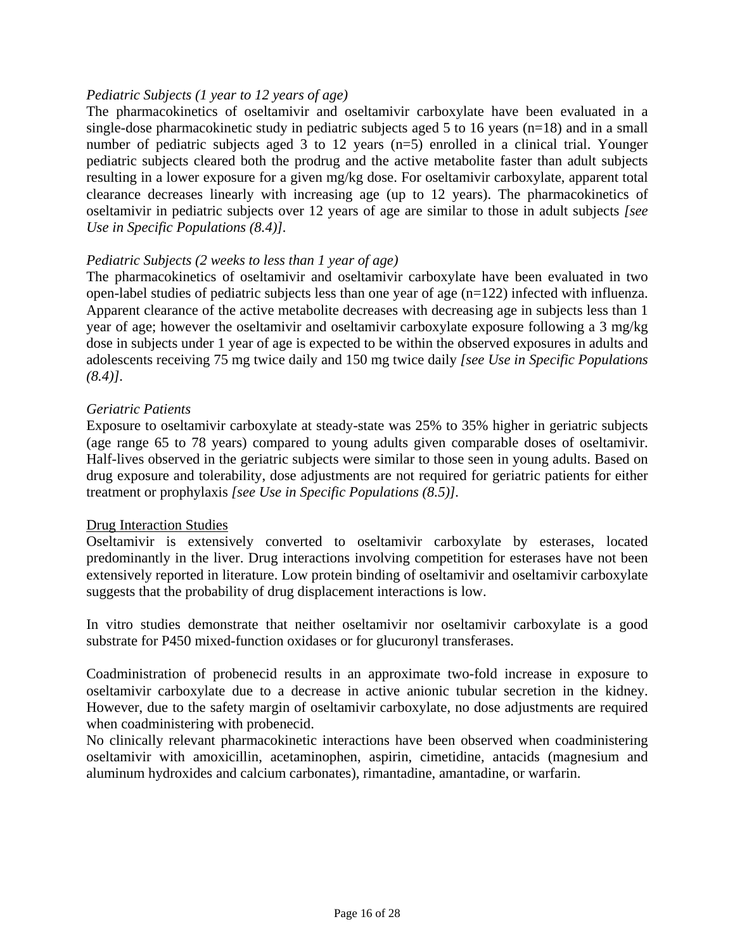## *Pediatric Subjects (1 year to 12 years of age)*

The pharmacokinetics of oseltamivir and oseltamivir carboxylate have been evaluated in a single-dose pharmacokinetic study in pediatric subjects aged 5 to 16 years (n=18) and in a small number of pediatric subjects aged 3 to 12 years (n=5) enrolled in a clinical trial. Younger pediatric subjects cleared both the prodrug and the active metabolite faster than adult subjects resulting in a lower exposure for a given mg/kg dose. For oseltamivir carboxylate, apparent total clearance decreases linearly with increasing age (up to 12 years). The pharmacokinetics of oseltamivir in pediatric subjects over 12 years of age are similar to those in adult subjects *[see Use in Specific Populations [\(8.4\)\]](#page-9-3).*

#### *Pediatric Subjects (2 weeks to less than 1 year of age)*

The pharmacokinetics of oseltamivir and oseltamivir carboxylate have been evaluated in two open-label studies of pediatric subjects less than one year of age (n=122) infected with influenza. Apparent clearance of the active metabolite decreases with decreasing age in subjects less than 1 year of age; however the oseltamivir and oseltamivir carboxylate exposure following a 3 mg/kg dose in subjects under 1 year of age is expected to be within the observed exposures in adults and adolescents receiving 75 mg twice daily and 150 mg twice daily *[see Use in Specific Populations [\(8.4\)\]](#page-9-3).*

#### *Geriatric Patients*

Exposure to oseltamivir carboxylate at steady-state was 25% to 35% higher in geriatric subjects (age range 65 to 78 years) compared to young adults given comparable doses of oseltamivir. Half-lives observed in the geriatric subjects were similar to those seen in young adults. Based on drug exposure and tolerability, dose adjustments are not required for geriatric patients for either treatment or prophylaxis *[see Use in Specific Populations [\(8.5\)\]](#page-10-1).*

#### Drug Interaction Studies

Oseltamivir is extensively converted to oseltamivir carboxylate by esterases, located predominantly in the liver. Drug interactions involving competition for esterases have not been extensively reported in literature. Low protein binding of oseltamivir and oseltamivir carboxylate suggests that the probability of drug displacement interactions is low.

In vitro studies demonstrate that neither oseltamivir nor oseltamivir carboxylate is a good substrate for P450 mixed-function oxidases or for glucuronyl transferases.

Coadministration of probenecid results in an approximate two-fold increase in exposure to oseltamivir carboxylate due to a decrease in active anionic tubular secretion in the kidney. However, due to the safety margin of oseltamivir carboxylate, no dose adjustments are required when coadministering with probenecid.

No clinically relevant pharmacokinetic interactions have been observed when coadministering oseltamivir with amoxicillin, acetaminophen, aspirin, cimetidine, antacids (magnesium and aluminum hydroxides and calcium carbonates), rimantadine, amantadine, or warfarin.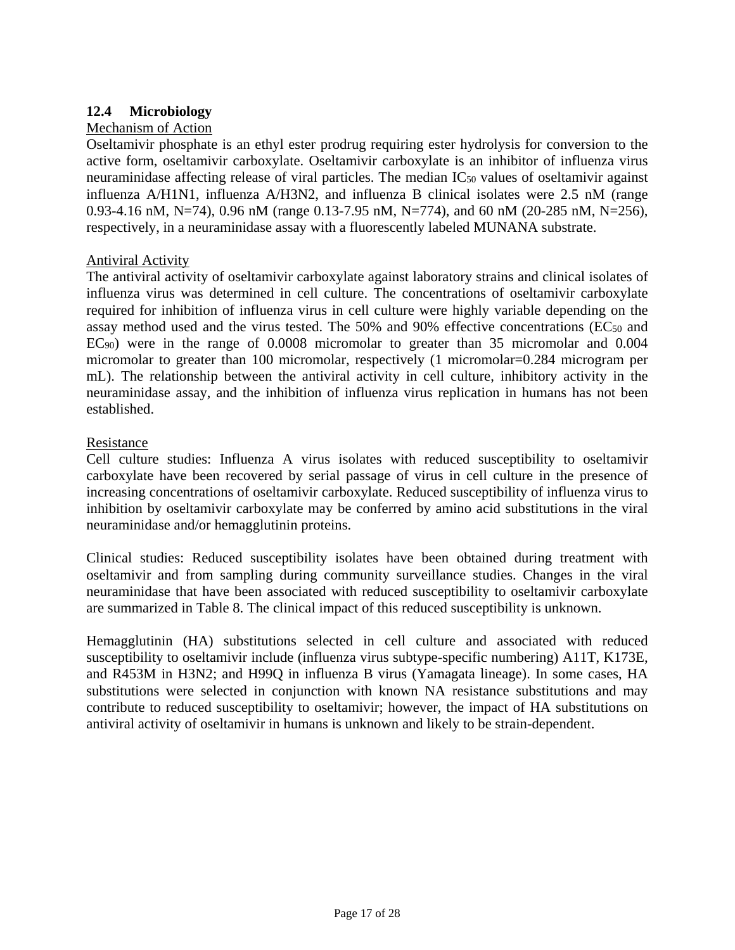# <span id="page-16-1"></span><span id="page-16-0"></span>**12.4 Microbiology**

# Mechanism of Action

Oseltamivir phosphate is an ethyl ester prodrug requiring ester hydrolysis for conversion to the active form, oseltamivir carboxylate. Oseltamivir carboxylate is an inhibitor of influenza virus neuraminidase affecting release of viral particles. The median IC<sub>50</sub> values of oseltamivir against influenza A/H1N1, influenza A/H3N2, and influenza B clinical isolates were 2.5 nM (range 0.93-4.16 nM, N=74), 0.96 nM (range 0.13-7.95 nM, N=774), and 60 nM (20-285 nM, N=256), respectively, in a neuraminidase assay with a fluorescently labeled MUNANA substrate.

# Antiviral Activity

The antiviral activity of oseltamivir carboxylate against laboratory strains and clinical isolates of influenza virus was determined in cell culture. The concentrations of oseltamivir carboxylate required for inhibition of influenza virus in cell culture were highly variable depending on the assay method used and the virus tested. The 50% and 90% effective concentrations (EC<sub>50</sub> and EC90) were in the range of 0.0008 micromolar to greater than 35 micromolar and 0.004 micromolar to greater than 100 micromolar, respectively (1 micromolar=0.284 microgram per mL). The relationship between the antiviral activity in cell culture, inhibitory activity in the neuraminidase assay, and the inhibition of influenza virus replication in humans has not been established.

#### Resistance

Cell culture studies: Influenza A virus isolates with reduced susceptibility to oseltamivir carboxylate have been recovered by serial passage of virus in cell culture in the presence of increasing concentrations of oseltamivir carboxylate. Reduced susceptibility of influenza virus to inhibition by oseltamivir carboxylate may be conferred by amino acid substitutions in the viral neuraminidase and/or hemagglutinin proteins.

Clinical studies: Reduced susceptibility isolates have been obtained during treatment with oseltamivir and from sampling during community surveillance studies. Changes in the viral neuraminidase that have been associated with reduced susceptibility to oseltamivir carboxylate are summarized in [Table 8.](#page-17-0) The clinical impact of this reduced susceptibility is unknown.

Hemagglutinin (HA) substitutions selected in cell culture and associated with reduced susceptibility to oseltamivir include (influenza virus subtype-specific numbering) A11T, K173E, and R453M in H3N2; and H99Q in influenza B virus (Yamagata lineage). In some cases, HA substitutions were selected in conjunction with known NA resistance substitutions and may contribute to reduced susceptibility to oseltamivir; however, the impact of HA substitutions on antiviral activity of oseltamivir in humans is unknown and likely to be strain-dependent.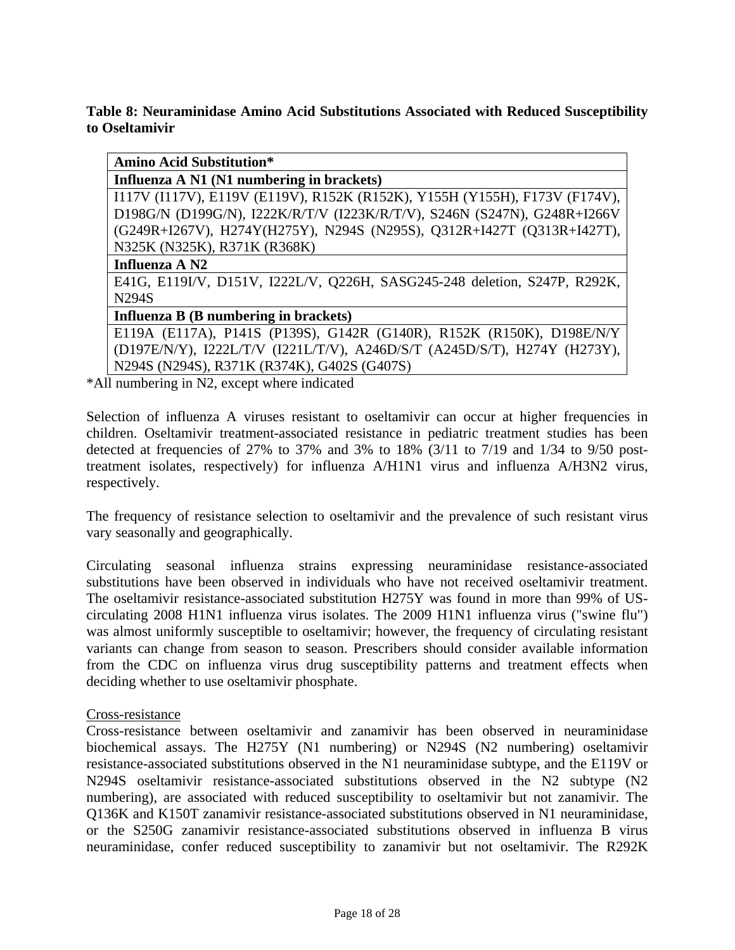# <span id="page-17-0"></span>**Table 8: Neuraminidase Amino Acid Substitutions Associated with Reduced Susceptibility to Oseltamivir**

**Amino Acid Substitution\*** 

**Influenza A N1 (N1 numbering in brackets)** 

I117V (I117V), E119V (E119V), R152K (R152K), Y155H (Y155H), F173V (F174V), D198G/N (D199G/N), I222K/R/T/V (I223K/R/T/V), S246N (S247N), G248R+I266V (G249R+I267V), H274Y(H275Y), N294S (N295S), Q312R+I427T (Q313R+I427T), N325K (N325K), R371K (R368K)

#### **Influenza A N2**

E41G, E119I/V, D151V, I222L/V, Q226H, SASG245-248 deletion, S247P, R292K, N294S

# **Influenza B (B numbering in brackets)**

E119A (E117A), P141S (P139S), G142R (G140R), R152K (R150K), D198E/N/Y (D197E/N/Y), I222L/T/V (I221L/T/V), A246D/S/T (A245D/S/T), H274Y (H273Y), N294S (N294S), R371K (R374K), G402S (G407S)

\*All numbering in N2, except where indicated

Selection of influenza A viruses resistant to oseltamivir can occur at higher frequencies in children. Oseltamivir treatment-associated resistance in pediatric treatment studies has been detected at frequencies of 27% to 37% and 3% to 18%  $(3/11$  to 7/19 and 1/34 to 9/50 posttreatment isolates, respectively) for influenza A/H1N1 virus and influenza A/H3N2 virus, respectively.

The frequency of resistance selection to oseltamivir and the prevalence of such resistant virus vary seasonally and geographically.

Circulating seasonal influenza strains expressing neuraminidase resistance-associated substitutions have been observed in individuals who have not received oseltamivir treatment. The oseltamivir resistance-associated substitution H275Y was found in more than 99% of UScirculating 2008 H1N1 influenza virus isolates. The 2009 H1N1 influenza virus ("swine flu") was almost uniformly susceptible to oseltamivir; however, the frequency of circulating resistant variants can change from season to season. Prescribers should consider available information from the CDC on influenza virus drug susceptibility patterns and treatment effects when deciding whether to use oseltamivir phosphate.

#### Cross-resistance

Cross-resistance between oseltamivir and zanamivir has been observed in neuraminidase biochemical assays. The H275Y (N1 numbering) or N294S (N2 numbering) oseltamivir resistance-associated substitutions observed in the N1 neuraminidase subtype, and the E119V or N294S oseltamivir resistance-associated substitutions observed in the N2 subtype (N2 numbering), are associated with reduced susceptibility to oseltamivir but not zanamivir. The Q136K and K150T zanamivir resistance-associated substitutions observed in N1 neuraminidase, or the S250G zanamivir resistance-associated substitutions observed in influenza B virus neuraminidase, confer reduced susceptibility to zanamivir but not oseltamivir. The R292K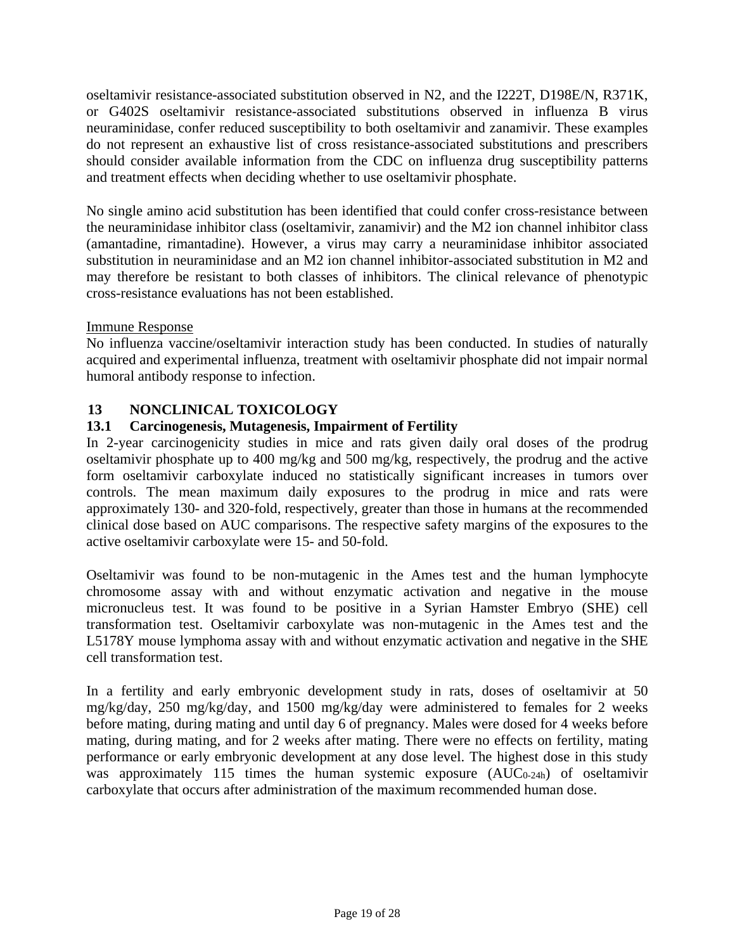oseltamivir resistance-associated substitution observed in N2, and the I222T, D198E/N, R371K, or G402S oseltamivir resistance-associated substitutions observed in influenza B virus neuraminidase, confer reduced susceptibility to both oseltamivir and zanamivir. These examples do not represent an exhaustive list of cross resistance-associated substitutions and prescribers should consider available information from the CDC on influenza drug susceptibility patterns and treatment effects when deciding whether to use oseltamivir phosphate.

No single amino acid substitution has been identified that could confer cross-resistance between the neuraminidase inhibitor class (oseltamivir, zanamivir) and the M2 ion channel inhibitor class (amantadine, rimantadine). However, a virus may carry a neuraminidase inhibitor associated substitution in neuraminidase and an M2 ion channel inhibitor-associated substitution in M2 and may therefore be resistant to both classes of inhibitors. The clinical relevance of phenotypic cross-resistance evaluations has not been established.

# Immune Response

No influenza vaccine/oseltamivir interaction study has been conducted. In studies of naturally acquired and experimental influenza, treatment with oseltamivir phosphate did not impair normal humoral antibody response to infection.

# <span id="page-18-0"></span>**13 NONCLINICAL TOXICOLOGY**

# <span id="page-18-1"></span>**13.1 Carcinogenesis, Mutagenesis, Impairment of Fertility**

In 2-year carcinogenicity studies in mice and rats given daily oral doses of the prodrug oseltamivir phosphate up to 400 mg/kg and 500 mg/kg, respectively, the prodrug and the active form oseltamivir carboxylate induced no statistically significant increases in tumors over controls. The mean maximum daily exposures to the prodrug in mice and rats were approximately 130- and 320-fold, respectively, greater than those in humans at the recommended clinical dose based on AUC comparisons. The respective safety margins of the exposures to the active oseltamivir carboxylate were 15- and 50-fold.

Oseltamivir was found to be non-mutagenic in the Ames test and the human lymphocyte chromosome assay with and without enzymatic activation and negative in the mouse micronucleus test. It was found to be positive in a Syrian Hamster Embryo (SHE) cell transformation test. Oseltamivir carboxylate was non-mutagenic in the Ames test and the L5178Y mouse lymphoma assay with and without enzymatic activation and negative in the SHE cell transformation test.

In a fertility and early embryonic development study in rats, doses of oseltamivir at 50 mg/kg/day, 250 mg/kg/day, and 1500 mg/kg/day were administered to females for 2 weeks before mating, during mating and until day 6 of pregnancy. Males were dosed for 4 weeks before mating, during mating, and for 2 weeks after mating. There were no effects on fertility, mating performance or early embryonic development at any dose level. The highest dose in this study was approximately 115 times the human systemic exposure (AUC<sub>0-24h</sub>) of oseltamivir carboxylate that occurs after administration of the maximum recommended human dose.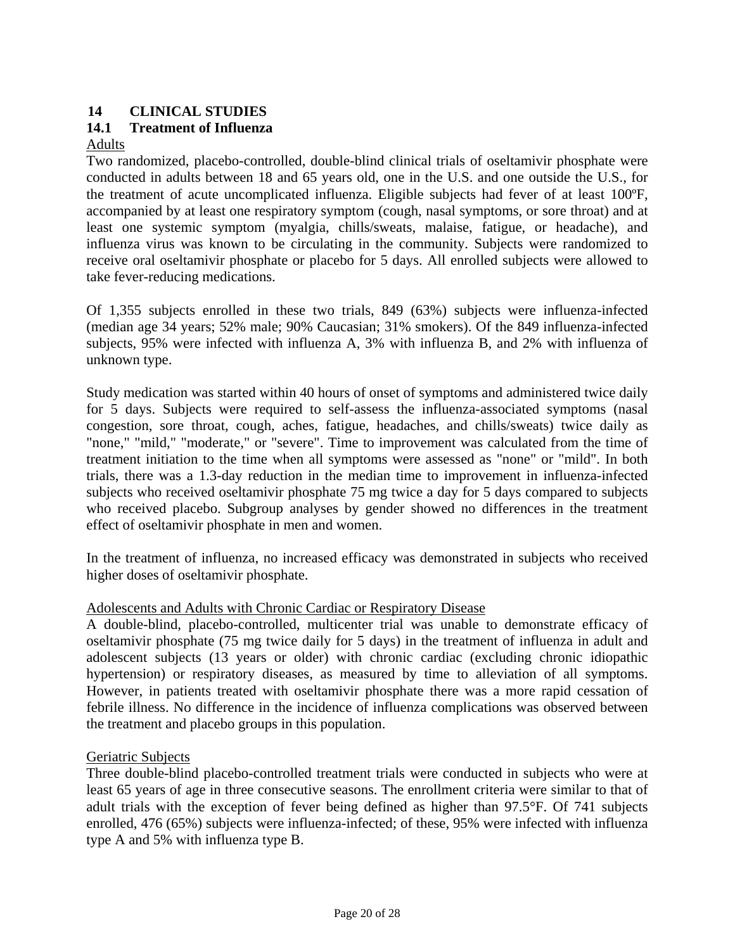# <span id="page-19-3"></span><span id="page-19-0"></span>**14 CLINICAL STUDIES**

# <span id="page-19-2"></span><span id="page-19-1"></span>**14.1 Treatment of Influenza**

## Adults

Two randomized, placebo-controlled, double-blind clinical trials of oseltamivir phosphate were conducted in adults between 18 and 65 years old, one in the U.S. and one outside the U.S., for the treatment of acute uncomplicated influenza. Eligible subjects had fever of at least 100ºF, accompanied by at least one respiratory symptom (cough, nasal symptoms, or sore throat) and at least one systemic symptom (myalgia, chills/sweats, malaise, fatigue, or headache), and influenza virus was known to be circulating in the community. Subjects were randomized to receive oral oseltamivir phosphate or placebo for 5 days. All enrolled subjects were allowed to take fever-reducing medications.

Of 1,355 subjects enrolled in these two trials, 849 (63%) subjects were influenza-infected (median age 34 years; 52% male; 90% Caucasian; 31% smokers). Of the 849 influenza-infected subjects, 95% were infected with influenza A, 3% with influenza B, and 2% with influenza of unknown type.

Study medication was started within 40 hours of onset of symptoms and administered twice daily for 5 days. Subjects were required to self-assess the influenza-associated symptoms (nasal congestion, sore throat, cough, aches, fatigue, headaches, and chills/sweats) twice daily as "none," "mild," "moderate," or "severe". Time to improvement was calculated from the time of treatment initiation to the time when all symptoms were assessed as "none" or "mild". In both trials, there was a 1.3-day reduction in the median time to improvement in influenza-infected subjects who received oseltamivir phosphate 75 mg twice a day for 5 days compared to subjects who received placebo. Subgroup analyses by gender showed no differences in the treatment effect of oseltamivir phosphate in men and women.

In the treatment of influenza, no increased efficacy was demonstrated in subjects who received higher doses of oseltamivir phosphate.

#### Adolescents and Adults with Chronic Cardiac or Respiratory Disease

A double-blind, placebo-controlled, multicenter trial was unable to demonstrate efficacy of oseltamivir phosphate (75 mg twice daily for 5 days) in the treatment of influenza in adult and adolescent subjects (13 years or older) with chronic cardiac (excluding chronic idiopathic hypertension) or respiratory diseases, as measured by time to alleviation of all symptoms. However, in patients treated with oseltamivir phosphate there was a more rapid cessation of febrile illness. No difference in the incidence of influenza complications was observed between the treatment and placebo groups in this population.

#### Geriatric Subjects

Three double-blind placebo-controlled treatment trials were conducted in subjects who were at least 65 years of age in three consecutive seasons. The enrollment criteria were similar to that of adult trials with the exception of fever being defined as higher than 97.5°F. Of 741 subjects enrolled, 476 (65%) subjects were influenza-infected; of these, 95% were infected with influenza type A and 5% with influenza type B.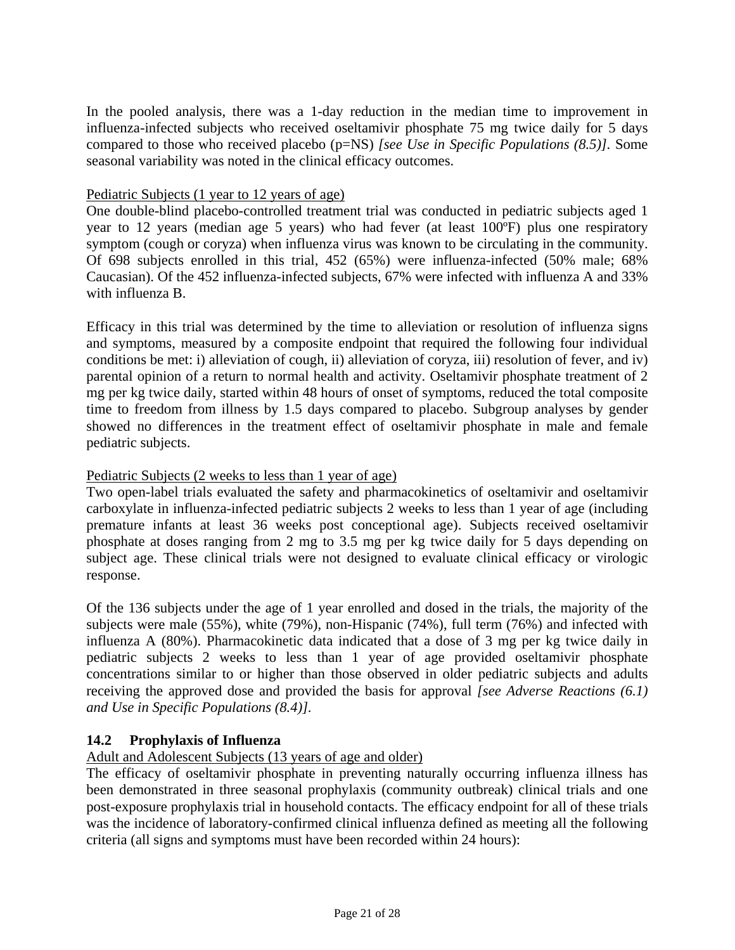<span id="page-20-3"></span><span id="page-20-2"></span>In the pooled analysis, there was a 1-day reduction in the median time to improvement in influenza-infected subjects who received oseltamivir phosphate 75 mg twice daily for 5 days compared to those who received placebo (p=NS) *[see Use in Specific Populations [\(8.5\)\].](#page-10-2)* Some seasonal variability was noted in the clinical efficacy outcomes.

#### Pediatric Subjects (1 year to 12 years of age)

One double-blind placebo-controlled treatment trial was conducted in pediatric subjects aged 1 year to 12 years (median age 5 years) who had fever (at least 100ºF) plus one respiratory symptom (cough or coryza) when influenza virus was known to be circulating in the community. Of 698 subjects enrolled in this trial, 452 (65%) were influenza-infected (50% male; 68% Caucasian). Of the 452 influenza-infected subjects, 67% were infected with influenza A and 33% with influenza B.

Efficacy in this trial was determined by the time to alleviation or resolution of influenza signs and symptoms, measured by a composite endpoint that required the following four individual conditions be met: i) alleviation of cough, ii) alleviation of coryza, iii) resolution of fever, and iv) parental opinion of a return to normal health and activity. Oseltamivir phosphate treatment of 2 mg per kg twice daily, started within 48 hours of onset of symptoms, reduced the total composite time to freedom from illness by 1.5 days compared to placebo. Subgroup analyses by gender showed no differences in the treatment effect of oseltamivir phosphate in male and female pediatric subjects.

#### Pediatric Subjects (2 weeks to less than 1 year of age)

Two open-label trials evaluated the safety and pharmacokinetics of oseltamivir and oseltamivir carboxylate in influenza-infected pediatric subjects 2 weeks to less than 1 year of age (including premature infants at least 36 weeks post conceptional age). Subjects received oseltamivir phosphate at doses ranging from 2 mg to 3.5 mg per kg twice daily for 5 days depending on subject age. These clinical trials were not designed to evaluate clinical efficacy or virologic response.

Of the 136 subjects under the age of 1 year enrolled and dosed in the trials, the majority of the subjects were male (55%), white (79%), non-Hispanic (74%), full term (76%) and infected with influenza A (80%). Pharmacokinetic data indicated that a dose of 3 mg per kg twice daily in pediatric subjects 2 weeks to less than 1 year of age provided oseltamivir phosphate concentrations similar to or higher than those observed in older pediatric subjects and adults receiving the approved dose and provided the basis for approval *[see Adverse Reactions [\(6.1\)](#page-5-4) and Use in Specific Populations [\(8.4\)\].](#page-9-3)*

# <span id="page-20-1"></span><span id="page-20-0"></span>**14.2 Prophylaxis of Influenza**

# Adult and Adolescent Subjects (13 years of age and older)

The efficacy of oseltamivir phosphate in preventing naturally occurring influenza illness has been demonstrated in three seasonal prophylaxis (community outbreak) clinical trials and one post-exposure prophylaxis trial in household contacts. The efficacy endpoint for all of these trials was the incidence of laboratory-confirmed clinical influenza defined as meeting all the following criteria (all signs and symptoms must have been recorded within 24 hours):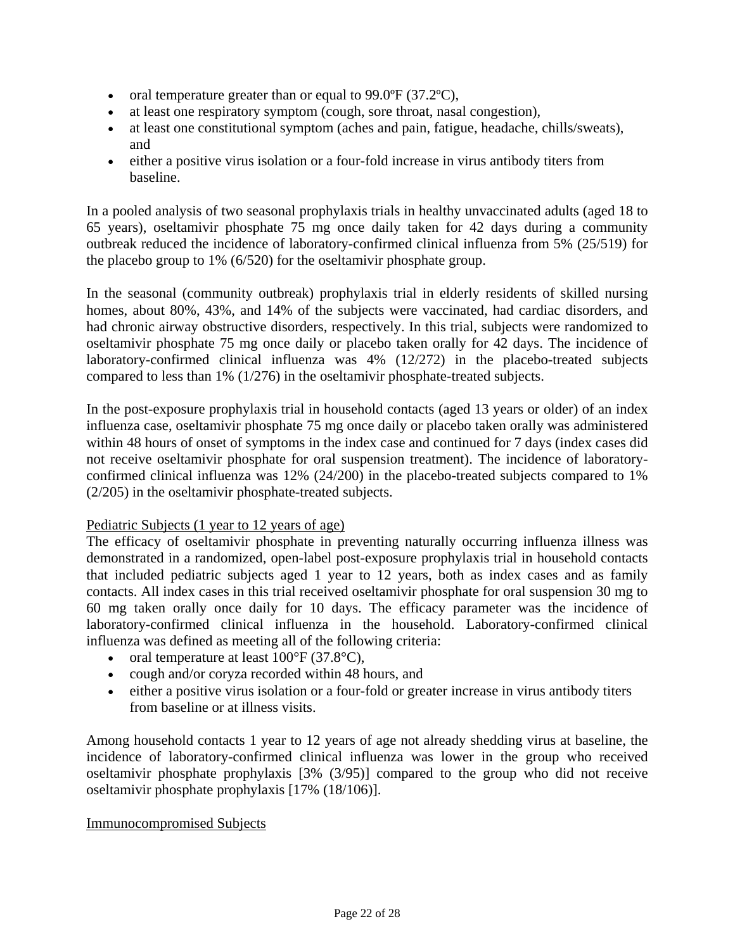- <span id="page-21-0"></span>• oral temperature greater than or equal to 99.0°F (37.2°C),
- at least one respiratory symptom (cough, sore throat, nasal congestion),
- at least one constitutional symptom (aches and pain, fatigue, headache, chills/sweats), and
- either a positive virus isolation or a four-fold increase in virus antibody titers from baseline.

In a pooled analysis of two seasonal prophylaxis trials in healthy unvaccinated adults (aged 18 to 65 years), oseltamivir phosphate 75 mg once daily taken for 42 days during a community outbreak reduced the incidence of laboratory-confirmed clinical influenza from 5% (25/519) for the placebo group to 1% (6/520) for the oseltamivir phosphate group.

In the seasonal (community outbreak) prophylaxis trial in elderly residents of skilled nursing homes, about 80%, 43%, and 14% of the subjects were vaccinated, had cardiac disorders, and had chronic airway obstructive disorders, respectively. In this trial, subjects were randomized to oseltamivir phosphate 75 mg once daily or placebo taken orally for 42 days. The incidence of laboratory-confirmed clinical influenza was 4% (12/272) in the placebo-treated subjects compared to less than 1% (1/276) in the oseltamivir phosphate-treated subjects.

In the post-exposure prophylaxis trial in household contacts (aged 13 years or older) of an index influenza case, oseltamivir phosphate 75 mg once daily or placebo taken orally was administered within 48 hours of onset of symptoms in the index case and continued for 7 days (index cases did not receive oseltamivir phosphate for oral suspension treatment). The incidence of laboratoryconfirmed clinical influenza was 12% (24/200) in the placebo-treated subjects compared to 1% (2/205) in the oseltamivir phosphate-treated subjects.

#### Pediatric Subjects (1 year to 12 years of age)

The efficacy of oseltamivir phosphate in preventing naturally occurring influenza illness was demonstrated in a randomized, open-label post-exposure prophylaxis trial in household contacts that included pediatric subjects aged 1 year to 12 years, both as index cases and as family contacts. All index cases in this trial received oseltamivir phosphate for oral suspension 30 mg to 60 mg taken orally once daily for 10 days. The efficacy parameter was the incidence of laboratory-confirmed clinical influenza in the household. Laboratory-confirmed clinical influenza was defined as meeting all of the following criteria:

- oral temperature at least  $100^{\circ}$ F (37.8 $^{\circ}$ C),
- cough and/or coryza recorded within 48 hours, and
- either a positive virus isolation or a four-fold or greater increase in virus antibody titers from baseline or at illness visits.

Among household contacts 1 year to 12 years of age not already shedding virus at baseline, the incidence of laboratory-confirmed clinical influenza was lower in the group who received oseltamivir phosphate prophylaxis [3% (3/95)] compared to the group who did not receive oseltamivir phosphate prophylaxis [17% (18/106)].

#### Immunocompromised Subjects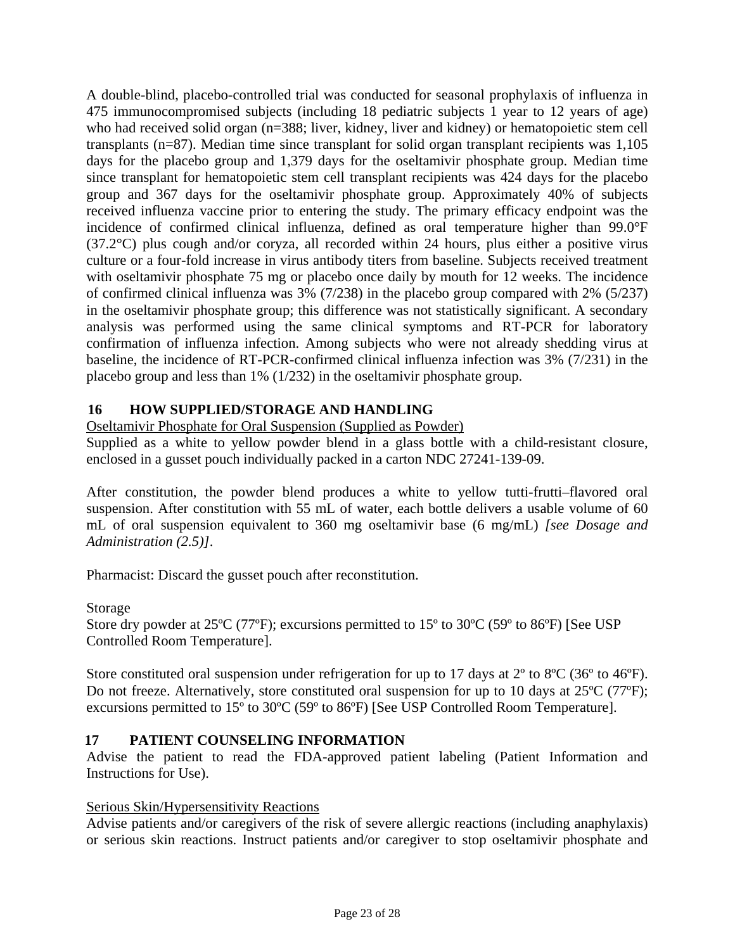<span id="page-22-0"></span>A double-blind, placebo-controlled trial was conducted for seasonal prophylaxis of influenza in 475 immunocompromised subjects (including 18 pediatric subjects 1 year to 12 years of age) who had received solid organ (n=388; liver, kidney, liver and kidney) or hematopoietic stem cell transplants (n=87). Median time since transplant for solid organ transplant recipients was 1,105 days for the placebo group and 1,379 days for the oseltamivir phosphate group. Median time since transplant for hematopoietic stem cell transplant recipients was 424 days for the placebo group and 367 days for the oseltamivir phosphate group. Approximately 40% of subjects received influenza vaccine prior to entering the study. The primary efficacy endpoint was the incidence of confirmed clinical influenza, defined as oral temperature higher than 99.0°F (37.2°C) plus cough and/or coryza, all recorded within 24 hours, plus either a positive virus culture or a four-fold increase in virus antibody titers from baseline. Subjects received treatment with oseltamivir phosphate 75 mg or placebo once daily by mouth for 12 weeks. The incidence of confirmed clinical influenza was 3% (7/238) in the placebo group compared with 2% (5/237) in the oseltamivir phosphate group; this difference was not statistically significant. A secondary analysis was performed using the same clinical symptoms and RT-PCR for laboratory confirmation of influenza infection. Among subjects who were not already shedding virus at baseline, the incidence of RT-PCR-confirmed clinical influenza infection was 3% (7/231) in the placebo group and less than 1% (1/232) in the oseltamivir phosphate group.

# <span id="page-22-2"></span><span id="page-22-1"></span>**16 HOW SUPPLIED/STORAGE AND HANDLING**

Oseltamivir Phosphate for Oral Suspension (Supplied as Powder)

Supplied as a white to yellow powder blend in a glass bottle with a child-resistant closure, enclosed in a gusset pouch individually packed in a carton NDC 27241-139-09.

After constitution, the powder blend produces a white to yellow tutti-frutti–flavored oral suspension. After constitution with 55 mL of water, each bottle delivers a usable volume of 60 mL of oral suspension equivalent to 360 mg oseltamivir base (6 mg/mL) *[see Dosage and Administration [\(2.5\)\]](#page-4-6)*.

Pharmacist: Discard the gusset pouch after reconstitution.

# Storage

Store dry powder at 25ºC (77ºF); excursions permitted to 15º to 30ºC (59º to 86ºF) [See USP Controlled Room Temperature].

Store constituted oral suspension under refrigeration for up to 17 days at  $2^{\circ}$  to  $8^{\circ}C$  (36<sup>°</sup> to 46<sup>°</sup>F). Do not freeze. Alternatively, store constituted oral suspension for up to 10 days at 25<sup>o</sup>C (77<sup>o</sup>F); excursions permitted to 15º to 30ºC (59º to 86ºF) [See USP Controlled Room Temperature].

# **17 PATIENT COUNSELING INFORMATION**

Advise the patient to read the FDA-approved patient labeling (Patient Information and Instructions for Use).

# Serious Skin/Hypersensitivity Reactions

Advise patients and/or caregivers of the risk of severe allergic reactions (including anaphylaxis) or serious skin reactions. Instruct patients and/or caregiver to stop oseltamivir phosphate and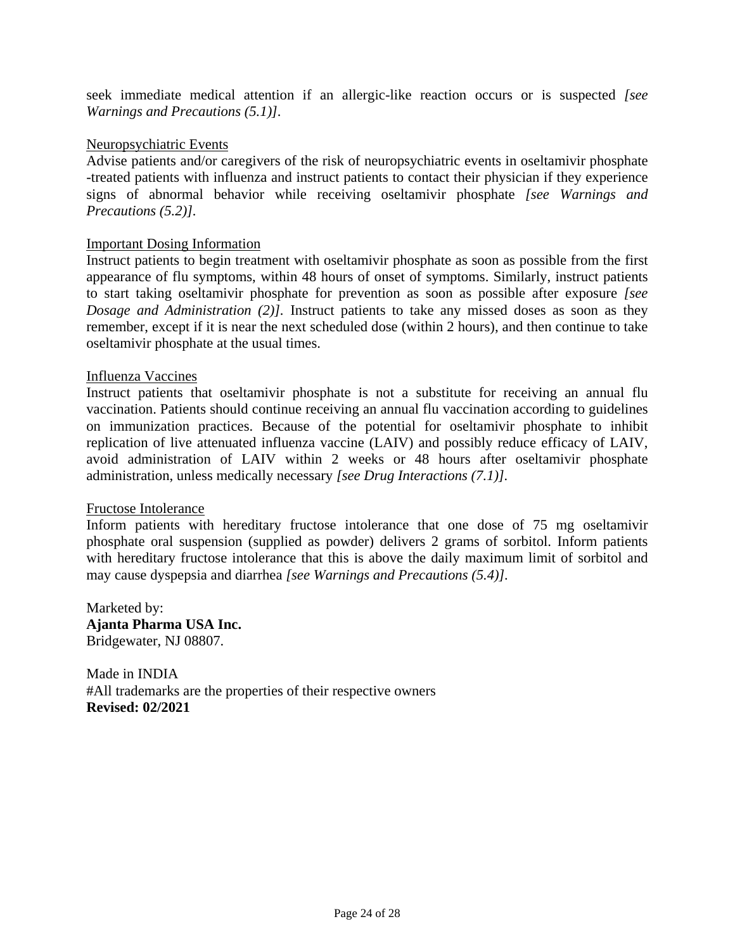seek immediate medical attention if an allergic-like reaction occurs or is suspected *[see Warnings and Precautions [\(5.1\)\]](#page-4-6).*

#### Neuropsychiatric Events

Advise patients and/or caregivers of the risk of neuropsychiatric events in oseltamivir phosphate -treated patients with influenza and instruct patients to contact their physician if they experience signs of abnormal behavior while receiving oseltamivir phosphate *[see Warnings and Precautions [\(5.2\)\]](#page-5-4).*

#### Important Dosing Information

Instruct patients to begin treatment with oseltamivir phosphate as soon as possible from the first appearance of flu symptoms, within 48 hours of onset of symptoms. Similarly, instruct patients to start taking oseltamivir phosphate for prevention as soon as possible after exposure *[see Dosage and Administration [\(2\)](#page-1-5)].* Instruct patients to take any missed doses as soon as they remember, except if it is near the next scheduled dose (within 2 hours), and then continue to take oseltamivir phosphate at the usual times.

#### Influenza Vaccines

Instruct patients that oseltamivir phosphate is not a substitute for receiving an annual flu vaccination. Patients should continue receiving an annual flu vaccination according to guidelines on immunization practices. Because of the potential for oseltamivir phosphate to inhibit replication of live attenuated influenza vaccine (LAIV) and possibly reduce efficacy of LAIV, avoid administration of LAIV within 2 weeks or 48 hours after oseltamivir phosphate administration, unless medically necessary *[see Drug Interactions [\(7.1\)\]](#page-7-3).*

#### Fructose Intolerance

Inform patients with hereditary fructose intolerance that one dose of 75 mg oseltamivir phosphate oral suspension (supplied as powder) delivers 2 grams of sorbitol. Inform patients with hereditary fructose intolerance that this is above the daily maximum limit of sorbitol and may cause dyspepsia and diarrhea *[see Warnings and Precautions [\(5.4\)\]](#page-5-4).*

Marketed by: **Ajanta Pharma USA Inc.** Bridgewater, NJ 08807.

Made in INDIA #All trademarks are the properties of their respective owners **Revised: 02/2021**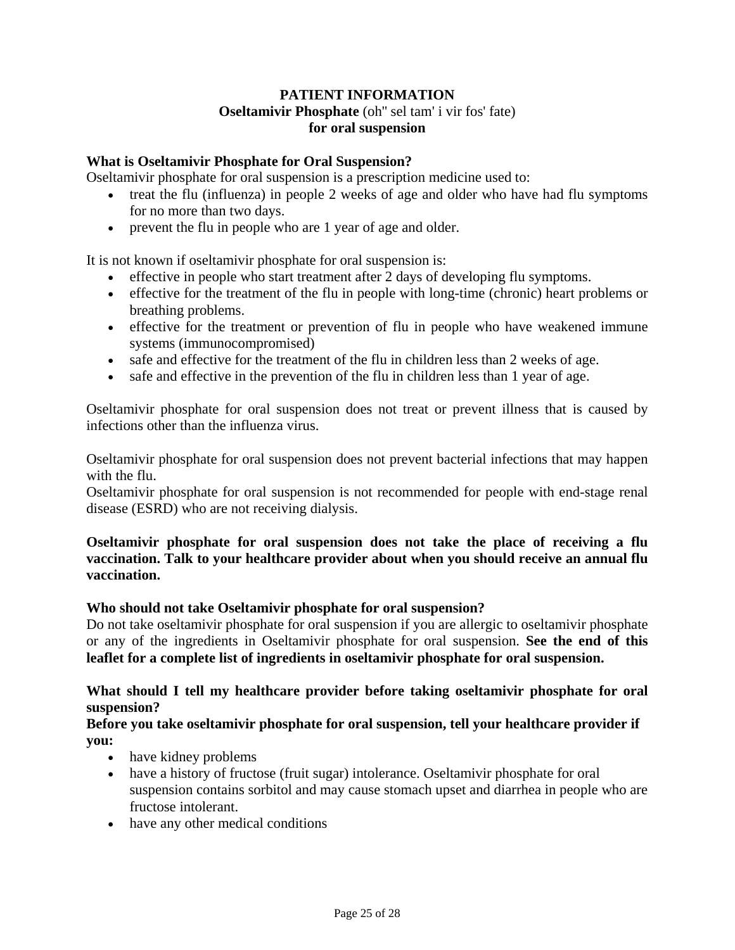# **PATIENT INFORMATION Oseltamivir Phosphate** (oh'' sel tam' i vir fos' fate) **for oral suspension**

## **What is Oseltamivir Phosphate for Oral Suspension?**

Oseltamivir phosphate for oral suspension is a prescription medicine used to:

- treat the flu (influenza) in people 2 weeks of age and older who have had flu symptoms for no more than two days.
- prevent the flu in people who are 1 year of age and older.

It is not known if oseltamivir phosphate for oral suspension is:

- effective in people who start treatment after 2 days of developing flu symptoms.
- effective for the treatment of the flu in people with long-time (chronic) heart problems or breathing problems.
- effective for the treatment or prevention of flu in people who have weakened immune systems (immunocompromised)
- safe and effective for the treatment of the flu in children less than 2 weeks of age.
- safe and effective in the prevention of the flu in children less than 1 year of age.

Oseltamivir phosphate for oral suspension does not treat or prevent illness that is caused by infections other than the influenza virus.

Oseltamivir phosphate for oral suspension does not prevent bacterial infections that may happen with the flu.

Oseltamivir phosphate for oral suspension is not recommended for people with end-stage renal disease (ESRD) who are not receiving dialysis.

# **Oseltamivir phosphate for oral suspension does not take the place of receiving a flu vaccination. Talk to your healthcare provider about when you should receive an annual flu vaccination.**

#### **Who should not take Oseltamivir phosphate for oral suspension?**

Do not take oseltamivir phosphate for oral suspension if you are allergic to oseltamivir phosphate or any of the ingredients in Oseltamivir phosphate for oral suspension. **See the end of this leaflet for a complete list of ingredients in oseltamivir phosphate for oral suspension.**

# **What should I tell my healthcare provider before taking oseltamivir phosphate for oral suspension?**

#### **Before you take oseltamivir phosphate for oral suspension, tell your healthcare provider if you:**

- have kidney problems
- have a history of fructose (fruit sugar) intolerance. Oseltamivir phosphate for oral suspension contains sorbitol and may cause stomach upset and diarrhea in people who are fructose intolerant.
- have any other medical conditions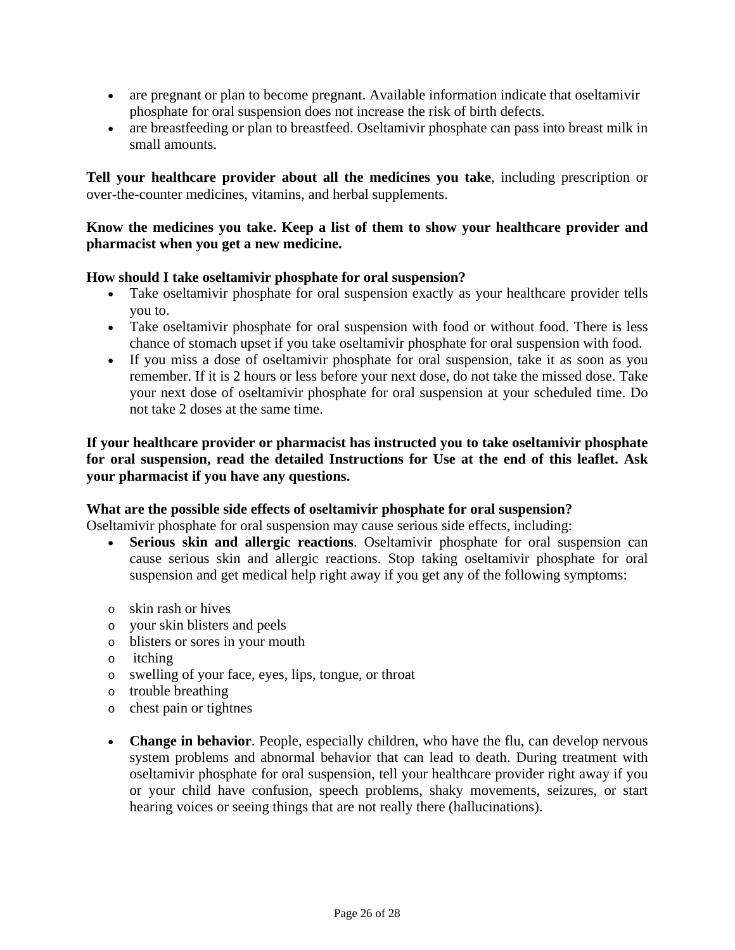- are pregnant or plan to become pregnant. Available information indicate that oseltamivir phosphate for oral suspension does not increase the risk of birth defects.
- are breastfeeding or plan to breastfeed. Oseltamivir phosphate can pass into breast milk in small amounts.

**Tell your healthcare provider about all the medicines you take**, including prescription or over-the-counter medicines, vitamins, and herbal supplements.

#### **Know the medicines you take. Keep a list of them to show your healthcare provider and pharmacist when you get a new medicine.**

#### **How should I take oseltamivir phosphate for oral suspension?**

- Take oseltamivir phosphate for oral suspension exactly as your healthcare provider tells you to.
- Take oseltamivir phosphate for oral suspension with food or without food. There is less chance of stomach upset if you take oseltamivir phosphate for oral suspension with food.
- If you miss a dose of oseltamivir phosphate for oral suspension, take it as soon as you remember. If it is 2 hours or less before your next dose, do not take the missed dose. Take your next dose of oseltamivir phosphate for oral suspension at your scheduled time. Do not take 2 doses at the same time.

#### **If your healthcare provider or pharmacist has instructed you to take oseltamivir phosphate for oral suspension, read the detailed Instructions for Use at the end of this leaflet. Ask your pharmacist if you have any questions.**

#### **What are the possible side effects of oseltamivir phosphate for oral suspension?**

Oseltamivir phosphate for oral suspension may cause serious side effects, including:

- **Serious skin and allergic reactions.** Oseltamivir phosphate for oral suspension can cause serious skin and allergic reactions. Stop taking oseltamivir phosphate for oral suspension and get medical help right away if you get any of the following symptoms:
- o skin rash or hives
- o your skin blisters and peels
- o blisters or sores in your mouth
- o itching
- o swelling of your face, eyes, lips, tongue, or throat
- o trouble breathing
- o chest pain or tightnes
- **Change in behavior**. People, especially children, who have the flu, can develop nervous system problems and abnormal behavior that can lead to death. During treatment with oseltamivir phosphate for oral suspension, tell your healthcare provider right away if you or your child have confusion, speech problems, shaky movements, seizures, or start hearing voices or seeing things that are not really there (hallucinations).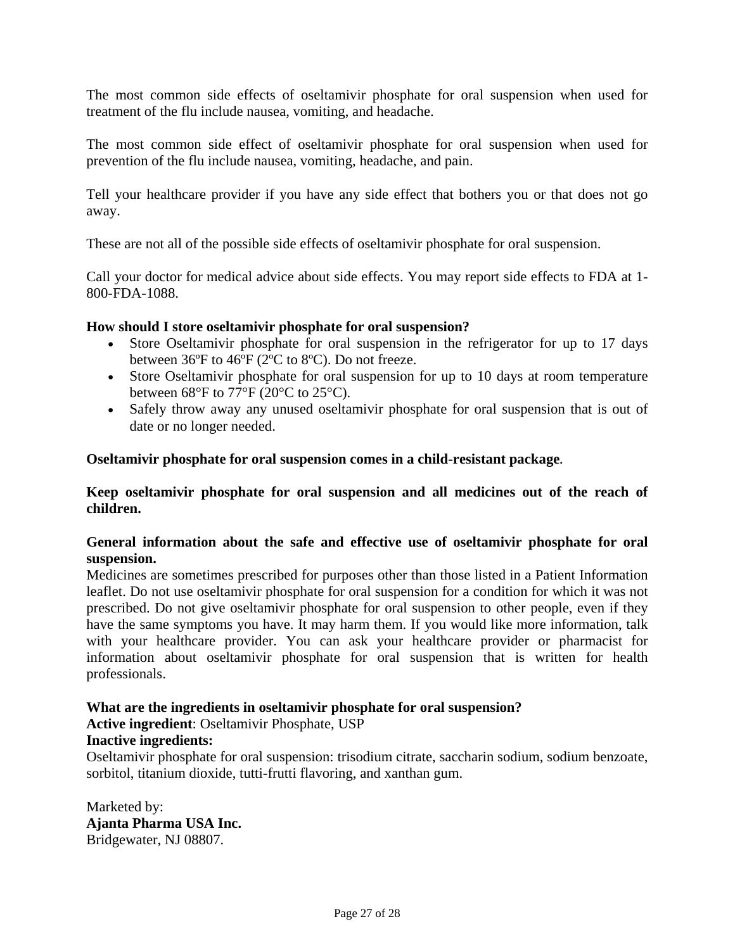The most common side effects of oseltamivir phosphate for oral suspension when used for treatment of the flu include nausea, vomiting, and headache.

The most common side effect of oseltamivir phosphate for oral suspension when used for prevention of the flu include nausea, vomiting, headache, and pain.

Tell your healthcare provider if you have any side effect that bothers you or that does not go away.

These are not all of the possible side effects of oseltamivir phosphate for oral suspension.

Call your doctor for medical advice about side effects. You may report side effects to FDA at 1- 800-FDA-1088.

#### **How should I store oseltamivir phosphate for oral suspension?**

- Store Oseltamivir phosphate for oral suspension in the refrigerator for up to 17 days between 36ºF to 46ºF (2ºC to 8ºC). Do not freeze.
- Store Oseltamivir phosphate for oral suspension for up to 10 days at room temperature between  $68^{\circ}$ F to  $77^{\circ}$ F ( $20^{\circ}$ C to  $25^{\circ}$ C).
- Safely throw away any unused oseltamivir phosphate for oral suspension that is out of date or no longer needed.

#### **Oseltamivir phosphate for oral suspension comes in a child-resistant package.**

**Keep oseltamivir phosphate for oral suspension and all medicines out of the reach of children.** 

#### **General information about the safe and effective use of oseltamivir phosphate for oral suspension.**

Medicines are sometimes prescribed for purposes other than those listed in a Patient Information leaflet. Do not use oseltamivir phosphate for oral suspension for a condition for which it was not prescribed. Do not give oseltamivir phosphate for oral suspension to other people, even if they have the same symptoms you have. It may harm them. If you would like more information, talk with your healthcare provider. You can ask your healthcare provider or pharmacist for information about oseltamivir phosphate for oral suspension that is written for health professionals.

#### **What are the ingredients in oseltamivir phosphate for oral suspension?**

**Active ingredient**: Oseltamivir Phosphate, USP

#### **Inactive ingredients:**

Oseltamivir phosphate for oral suspension: trisodium citrate, saccharin sodium, sodium benzoate, sorbitol, titanium dioxide, tutti-frutti flavoring, and xanthan gum.

Marketed by: **Ajanta Pharma USA Inc.** Bridgewater, NJ 08807.